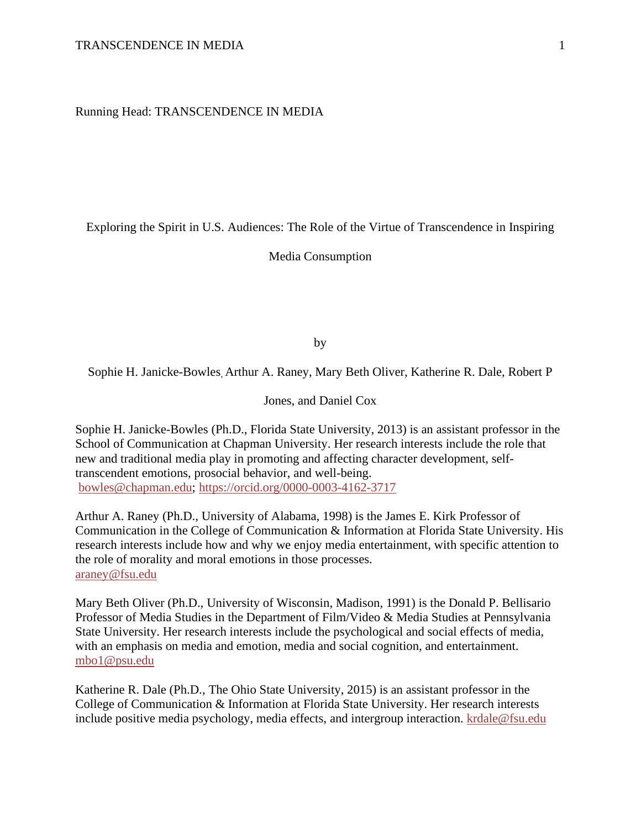Running Head: TRANSCENDENCE IN MEDIA

Exploring the Spirit in U.S. Audiences: The Role of the Virtue of Transcendence in Inspiring

Media Consumption

by

Sophie H. Janicke-Bowles, Arthur A. Raney, Mary Beth Oliver, Katherine R. Dale, Robert P

Jones, and Daniel Cox

Sophie H. Janicke-Bowles (Ph.D., Florida State University, 2013) is an assistant professor in the School of Communication at Chapman University. Her research interests include the role that new and traditional media play in promoting and affecting character development, selftranscendent emotions, prosocial behavior, and well-being. [bowles@chapman.edu;](mailto:bowles@chapman.edu)<https://orcid.org/0000-0003-4162-3717>

Arthur A. Raney (Ph.D., University of Alabama, 1998) is the James E. Kirk Professor of Communication in the College of Communication & Information at Florida State University. His research interests include how and why we enjoy media entertainment, with specific attention to the role of morality and moral emotions in those processes. [araney@fsu.edu](mailto:araney@fsu.edu)

Mary Beth Oliver (Ph.D., University of Wisconsin, Madison, 1991) is the Donald P. Bellisario Professor of Media Studies in the Department of Film/Video & Media Studies at Pennsylvania State University. Her research interests include the psychological and social effects of media, with an emphasis on media and emotion, media and social cognition, and entertainment. [mbo1@psu.edu](mailto:mbo1@psu.edu)

Katherine R. Dale (Ph.D., The Ohio State University, 2015) is an assistant professor in the College of Communication & Information at Florida State University. Her research interests include positive media psychology, media effects, and intergroup interaction. [krdale@fsu.edu](mailto:krdale@fsu.edu)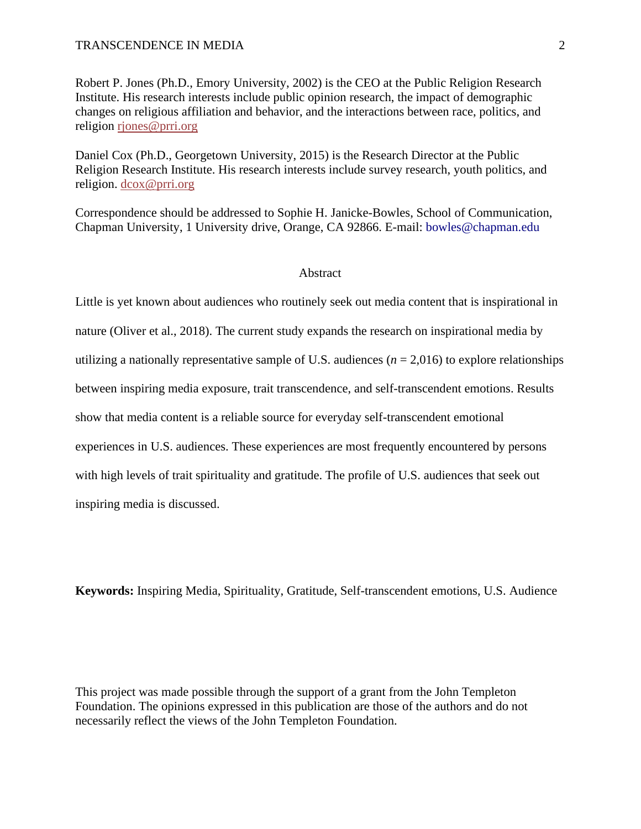Robert P. Jones (Ph.D., Emory University, 2002) is the CEO at the Public Religion Research Institute. His research interests include public opinion research, the impact of demographic changes on religious affiliation and behavior, and the interactions between race, politics, and religion [rjones@prri.org](mailto:rjones@prri.org)

Daniel Cox (Ph.D., Georgetown University, 2015) is the Research Director at the Public Religion Research Institute. His research interests include survey research, youth politics, and religion. [dcox@prri.org](mailto:dcox@prri.org)

Correspondence should be addressed to Sophie H. Janicke-Bowles, School of Communication, Chapman University, 1 University drive, Orange, CA 92866. E-mail: bowles@chapman.edu

#### **Abstract**

Little is yet known about audiences who routinely seek out media content that is inspirational in nature (Oliver et al., 2018). The current study expands the research on inspirational media by utilizing a nationally representative sample of U.S. audiences ( $n = 2,016$ ) to explore relationships between inspiring media exposure, trait transcendence, and self-transcendent emotions. Results show that media content is a reliable source for everyday self-transcendent emotional experiences in U.S. audiences. These experiences are most frequently encountered by persons with high levels of trait spirituality and gratitude. The profile of U.S. audiences that seek out inspiring media is discussed.

**Keywords:** Inspiring Media, Spirituality, Gratitude, Self-transcendent emotions, U.S. Audience

This project was made possible through the support of a grant from the John Templeton Foundation. The opinions expressed in this publication are those of the authors and do not necessarily reflect the views of the John Templeton Foundation.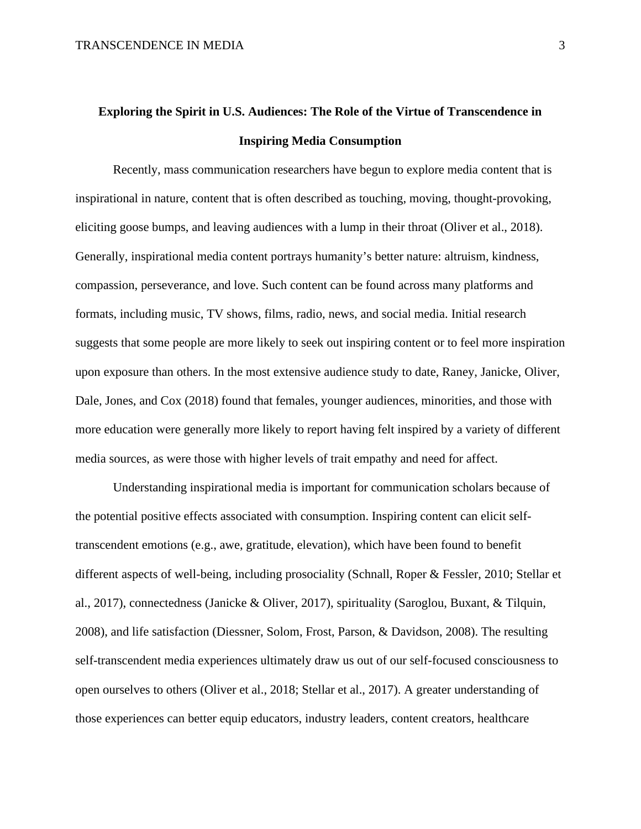# **Exploring the Spirit in U.S. Audiences: The Role of the Virtue of Transcendence in Inspiring Media Consumption**

Recently, mass communication researchers have begun to explore media content that is inspirational in nature, content that is often described as touching, moving, thought-provoking, eliciting goose bumps, and leaving audiences with a lump in their throat (Oliver et al., 2018). Generally, inspirational media content portrays humanity's better nature: altruism, kindness, compassion, perseverance, and love. Such content can be found across many platforms and formats, including music, TV shows, films, radio, news, and social media. Initial research suggests that some people are more likely to seek out inspiring content or to feel more inspiration upon exposure than others. In the most extensive audience study to date, Raney, Janicke, Oliver, Dale, Jones, and Cox (2018) found that females, younger audiences, minorities, and those with more education were generally more likely to report having felt inspired by a variety of different media sources, as were those with higher levels of trait empathy and need for affect.

Understanding inspirational media is important for communication scholars because of the potential positive effects associated with consumption. Inspiring content can elicit selftranscendent emotions (e.g., awe, gratitude, elevation), which have been found to benefit different aspects of well-being, including prosociality (Schnall, Roper & Fessler, 2010; Stellar et al., 2017), connectedness (Janicke & Oliver, 2017), spirituality (Saroglou, Buxant, & Tilquin, 2008), and life satisfaction (Diessner, Solom, Frost, Parson, & Davidson, 2008). The resulting self-transcendent media experiences ultimately draw us out of our self-focused consciousness to open ourselves to others (Oliver et al., 2018; Stellar et al., 2017). A greater understanding of those experiences can better equip educators, industry leaders, content creators, healthcare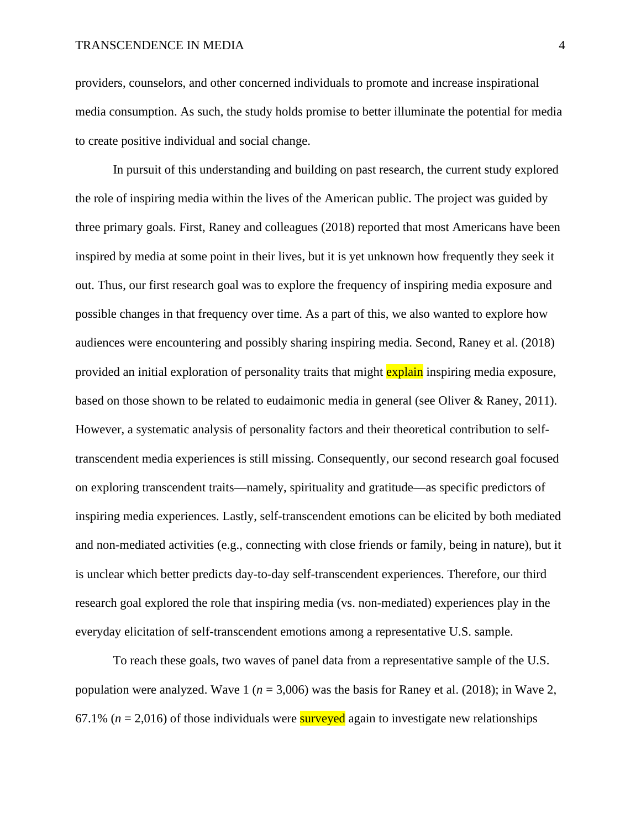providers, counselors, and other concerned individuals to promote and increase inspirational media consumption. As such, the study holds promise to better illuminate the potential for media to create positive individual and social change.

In pursuit of this understanding and building on past research, the current study explored the role of inspiring media within the lives of the American public. The project was guided by three primary goals. First, Raney and colleagues (2018) reported that most Americans have been inspired by media at some point in their lives, but it is yet unknown how frequently they seek it out. Thus, our first research goal was to explore the frequency of inspiring media exposure and possible changes in that frequency over time. As a part of this, we also wanted to explore how audiences were encountering and possibly sharing inspiring media. Second, Raney et al. (2018) provided an initial exploration of personality traits that might explain inspiring media exposure, based on those shown to be related to eudaimonic media in general (see Oliver & Raney, 2011). However, a systematic analysis of personality factors and their theoretical contribution to selftranscendent media experiences is still missing. Consequently, our second research goal focused on exploring transcendent traits—namely, spirituality and gratitude—as specific predictors of inspiring media experiences. Lastly, self-transcendent emotions can be elicited by both mediated and non-mediated activities (e.g., connecting with close friends or family, being in nature), but it is unclear which better predicts day-to-day self-transcendent experiences. Therefore, our third research goal explored the role that inspiring media (vs. non-mediated) experiences play in the everyday elicitation of self-transcendent emotions among a representative U.S. sample.

To reach these goals, two waves of panel data from a representative sample of the U.S. population were analyzed. Wave 1 ( $n = 3,006$ ) was the basis for Raney et al. (2018); in Wave 2, 67.1% ( $n = 2.016$ ) of those individuals were **surveyed** again to investigate new relationships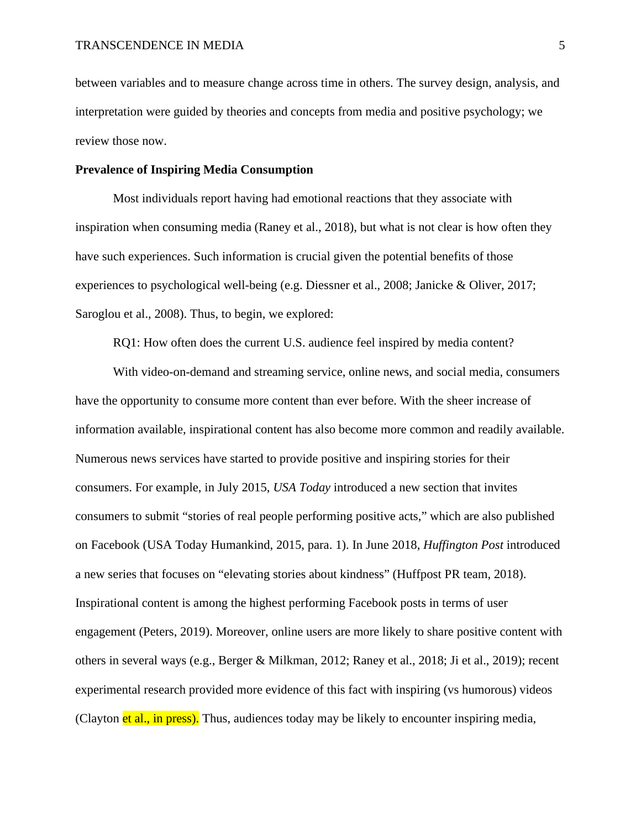between variables and to measure change across time in others. The survey design, analysis, and interpretation were guided by theories and concepts from media and positive psychology; we review those now.

#### **Prevalence of Inspiring Media Consumption**

Most individuals report having had emotional reactions that they associate with inspiration when consuming media (Raney et al., 2018), but what is not clear is how often they have such experiences. Such information is crucial given the potential benefits of those experiences to psychological well-being (e.g. Diessner et al., 2008; Janicke & Oliver, 2017; Saroglou et al., 2008). Thus, to begin, we explored:

RQ1: How often does the current U.S. audience feel inspired by media content?

With video-on-demand and streaming service, online news, and social media, consumers have the opportunity to consume more content than ever before. With the sheer increase of information available, inspirational content has also become more common and readily available. Numerous news services have started to provide positive and inspiring stories for their consumers. For example, in July 2015, *USA Today* introduced a new section that invites consumers to submit "stories of real people performing positive acts," which are also published on Facebook (USA Today Humankind, 2015, para. 1). In June 2018, *Huffington Post* introduced a new series that focuses on "elevating stories about kindness" (Huffpost PR team, 2018). Inspirational content is among the highest performing Facebook posts in terms of user engagement (Peters, 2019). Moreover, online users are more likely to share positive content with others in several ways (e.g., Berger & Milkman, 2012; Raney et al., 2018; Ji et al., 2019); recent experimental research provided more evidence of this fact with inspiring (vs humorous) videos (Clayton et al., in press). Thus, audiences today may be likely to encounter inspiring media,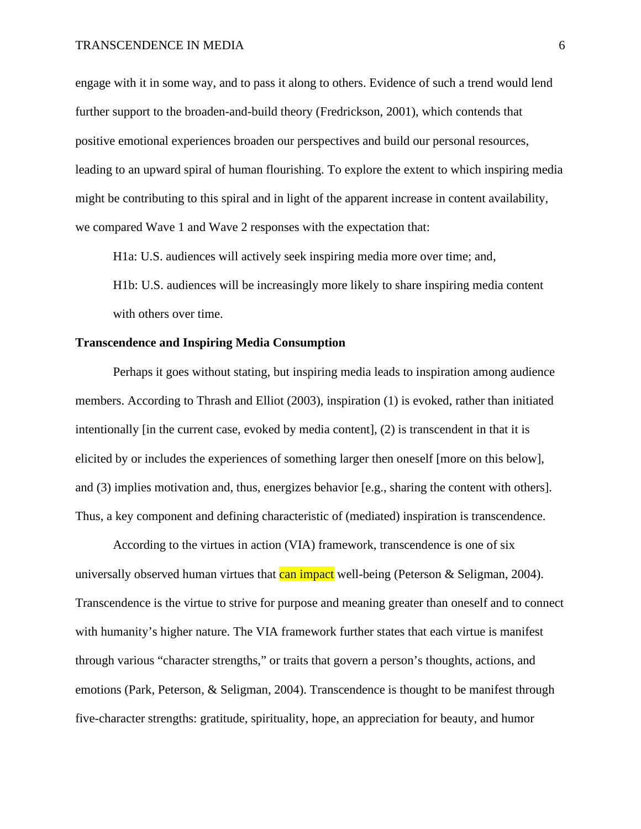engage with it in some way, and to pass it along to others. Evidence of such a trend would lend further support to the broaden-and-build theory (Fredrickson, 2001), which contends that positive emotional experiences broaden our perspectives and build our personal resources, leading to an upward spiral of human flourishing. To explore the extent to which inspiring media might be contributing to this spiral and in light of the apparent increase in content availability, we compared Wave 1 and Wave 2 responses with the expectation that:

H1a: U.S. audiences will actively seek inspiring media more over time; and,

H1b: U.S. audiences will be increasingly more likely to share inspiring media content with others over time.

## **Transcendence and Inspiring Media Consumption**

Perhaps it goes without stating, but inspiring media leads to inspiration among audience members. According to Thrash and Elliot (2003), inspiration (1) is evoked, rather than initiated intentionally [in the current case, evoked by media content], (2) is transcendent in that it is elicited by or includes the experiences of something larger then oneself [more on this below], and (3) implies motivation and, thus, energizes behavior [e.g., sharing the content with others]. Thus, a key component and defining characteristic of (mediated) inspiration is transcendence.

According to the virtues in action (VIA) framework, transcendence is one of six universally observed human virtues that can impact well-being (Peterson  $&$  Seligman, 2004). Transcendence is the virtue to strive for purpose and meaning greater than oneself and to connect with humanity's higher nature. The VIA framework further states that each virtue is manifest through various "character strengths," or traits that govern a person's thoughts, actions, and emotions (Park, Peterson, & Seligman, 2004). Transcendence is thought to be manifest through five-character strengths: gratitude, spirituality, hope, an appreciation for beauty, and humor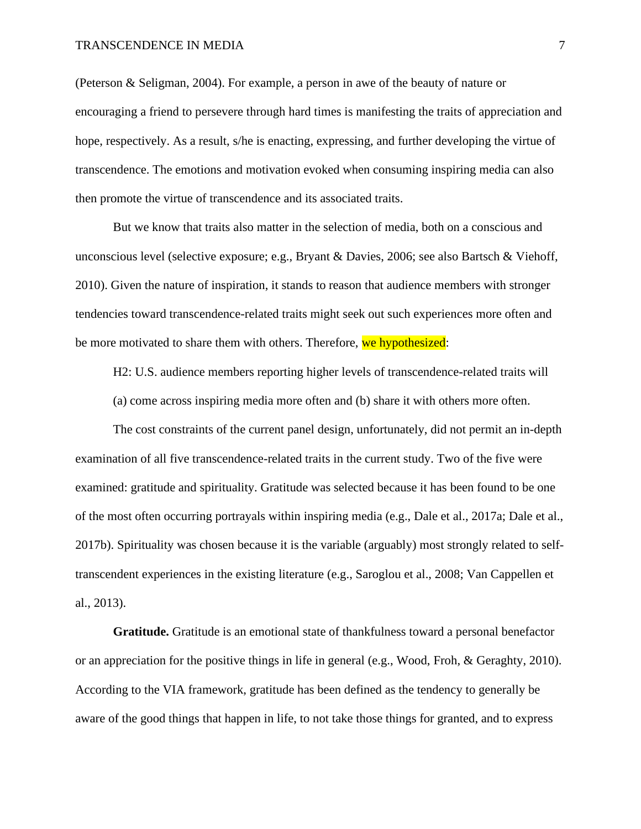(Peterson & Seligman, 2004). For example, a person in awe of the beauty of nature or encouraging a friend to persevere through hard times is manifesting the traits of appreciation and hope, respectively. As a result, s/he is enacting, expressing, and further developing the virtue of transcendence. The emotions and motivation evoked when consuming inspiring media can also then promote the virtue of transcendence and its associated traits.

But we know that traits also matter in the selection of media, both on a conscious and unconscious level (selective exposure; e.g., Bryant & Davies, 2006; see also Bartsch & Viehoff, 2010). Given the nature of inspiration, it stands to reason that audience members with stronger tendencies toward transcendence-related traits might seek out such experiences more often and be more motivated to share them with others. Therefore, we hypothesized:

H2: U.S. audience members reporting higher levels of transcendence-related traits will

(a) come across inspiring media more often and (b) share it with others more often.

The cost constraints of the current panel design, unfortunately, did not permit an in-depth examination of all five transcendence-related traits in the current study. Two of the five were examined: gratitude and spirituality. Gratitude was selected because it has been found to be one of the most often occurring portrayals within inspiring media (e.g., Dale et al., 2017a; Dale et al., 2017b). Spirituality was chosen because it is the variable (arguably) most strongly related to selftranscendent experiences in the existing literature (e.g., Saroglou et al., 2008; Van Cappellen et al., 2013).

**Gratitude.** Gratitude is an emotional state of thankfulness toward a personal benefactor or an appreciation for the positive things in life in general (e.g., Wood, Froh, & Geraghty, 2010). According to the VIA framework, gratitude has been defined as the tendency to generally be aware of the good things that happen in life, to not take those things for granted, and to express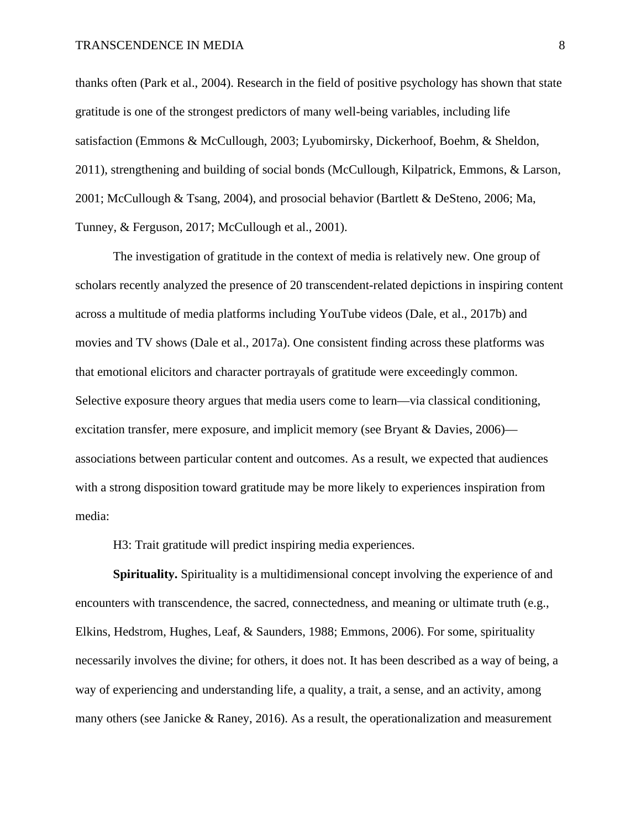thanks often (Park et al., 2004). Research in the field of positive psychology has shown that state gratitude is one of the strongest predictors of many well-being variables, including life satisfaction (Emmons & McCullough, 2003; Lyubomirsky, Dickerhoof, Boehm, & Sheldon, 2011), strengthening and building of social bonds (McCullough, Kilpatrick, Emmons, & Larson, 2001; McCullough & Tsang, 2004), and prosocial behavior (Bartlett & DeSteno, 2006; Ma, Tunney, & Ferguson, 2017; McCullough et al., 2001).

The investigation of gratitude in the context of media is relatively new. One group of scholars recently analyzed the presence of 20 transcendent-related depictions in inspiring content across a multitude of media platforms including YouTube videos (Dale, et al., 2017b) and movies and TV shows (Dale et al., 2017a). One consistent finding across these platforms was that emotional elicitors and character portrayals of gratitude were exceedingly common. Selective exposure theory argues that media users come to learn—via classical conditioning, excitation transfer, mere exposure, and implicit memory (see Bryant & Davies, 2006) associations between particular content and outcomes. As a result, we expected that audiences with a strong disposition toward gratitude may be more likely to experiences inspiration from media:

H3: Trait gratitude will predict inspiring media experiences.

**Spirituality.** Spirituality is a multidimensional concept involving the experience of and encounters with transcendence, the sacred, connectedness, and meaning or ultimate truth (e.g., Elkins, Hedstrom, Hughes, Leaf, & Saunders, 1988; Emmons, 2006). For some, spirituality necessarily involves the divine; for others, it does not. It has been described as a way of being, a way of experiencing and understanding life, a quality, a trait, a sense, and an activity, among many others (see Janicke  $\&$  Raney, 2016). As a result, the operationalization and measurement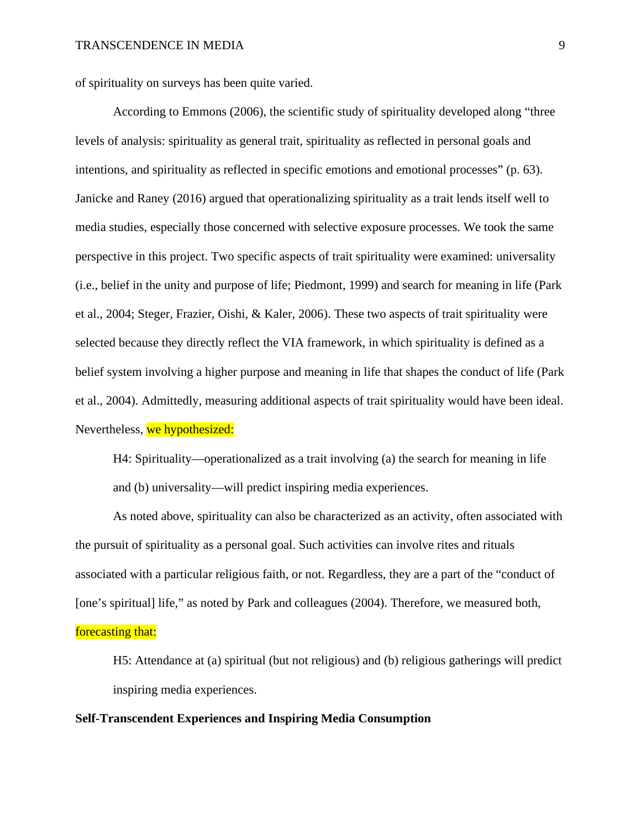of spirituality on surveys has been quite varied.

According to Emmons (2006), the scientific study of spirituality developed along "three levels of analysis: spirituality as general trait, spirituality as reflected in personal goals and intentions, and spirituality as reflected in specific emotions and emotional processes" (p. 63). Janicke and Raney (2016) argued that operationalizing spirituality as a trait lends itself well to media studies, especially those concerned with selective exposure processes. We took the same perspective in this project. Two specific aspects of trait spirituality were examined: universality (i.e., belief in the unity and purpose of life; Piedmont, 1999) and search for meaning in life (Park et al., 2004; Steger, Frazier, Oishi, & Kaler, 2006). These two aspects of trait spirituality were selected because they directly reflect the VIA framework, in which spirituality is defined as a belief system involving a higher purpose and meaning in life that shapes the conduct of life (Park et al., 2004). Admittedly, measuring additional aspects of trait spirituality would have been ideal. Nevertheless, we hypothesized:

H4: Spirituality—operationalized as a trait involving (a) the search for meaning in life and (b) universality—will predict inspiring media experiences.

As noted above, spirituality can also be characterized as an activity, often associated with the pursuit of spirituality as a personal goal. Such activities can involve rites and rituals associated with a particular religious faith, or not. Regardless, they are a part of the "conduct of [one's spiritual] life," as noted by Park and colleagues (2004). Therefore, we measured both,

## forecasting that:

H5: Attendance at (a) spiritual (but not religious) and (b) religious gatherings will predict inspiring media experiences.

## **Self-Transcendent Experiences and Inspiring Media Consumption**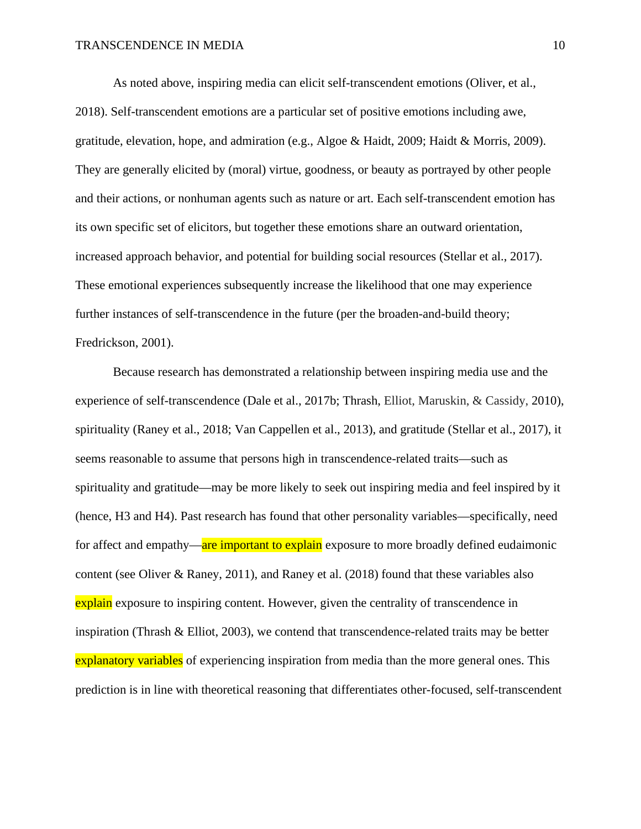As noted above, inspiring media can elicit self-transcendent emotions (Oliver, et al., 2018). Self-transcendent emotions are a particular set of positive emotions including awe, gratitude, elevation, hope, and admiration (e.g., Algoe & Haidt, 2009; Haidt & Morris, 2009). They are generally elicited by (moral) virtue, goodness, or beauty as portrayed by other people and their actions, or nonhuman agents such as nature or art. Each self-transcendent emotion has its own specific set of elicitors, but together these emotions share an outward orientation, increased approach behavior, and potential for building social resources (Stellar et al., 2017). These emotional experiences subsequently increase the likelihood that one may experience further instances of self-transcendence in the future (per the broaden-and-build theory; Fredrickson, 2001).

Because research has demonstrated a relationship between inspiring media use and the experience of self-transcendence (Dale et al., 2017b; Thrash, Elliot, Maruskin, & Cassidy, 2010), spirituality (Raney et al., 2018; Van Cappellen et al., 2013), and gratitude (Stellar et al., 2017), it seems reasonable to assume that persons high in transcendence-related traits—such as spirituality and gratitude—may be more likely to seek out inspiring media and feel inspired by it (hence, H3 and H4). Past research has found that other personality variables—specifically, need for affect and empathy—are important to explain exposure to more broadly defined eudaimonic content (see Oliver & Raney, 2011), and Raney et al. (2018) found that these variables also explain exposure to inspiring content. However, given the centrality of transcendence in inspiration (Thrash  $\&$  Elliot, 2003), we contend that transcendence-related traits may be better explanatory variables of experiencing inspiration from media than the more general ones. This prediction is in line with theoretical reasoning that differentiates other-focused, self-transcendent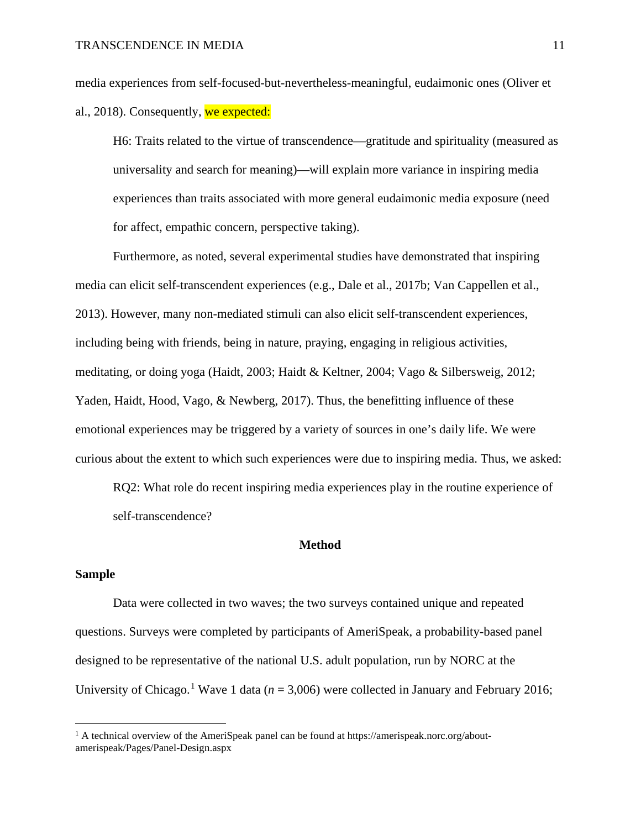media experiences from self-focused-but-nevertheless-meaningful, eudaimonic ones (Oliver et al., 2018). Consequently, we expected:

H6: Traits related to the virtue of transcendence—gratitude and spirituality (measured as universality and search for meaning)—will explain more variance in inspiring media experiences than traits associated with more general eudaimonic media exposure (need for affect, empathic concern, perspective taking).

Furthermore, as noted, several experimental studies have demonstrated that inspiring media can elicit self-transcendent experiences (e.g., Dale et al., 2017b; Van Cappellen et al., 2013). However, many non-mediated stimuli can also elicit self-transcendent experiences, including being with friends, being in nature, praying, engaging in religious activities, meditating, or doing yoga (Haidt, 2003; Haidt & Keltner, 2004; Vago & Silbersweig, 2012; Yaden, Haidt, Hood, Vago, & Newberg, 2017). Thus, the benefitting influence of these emotional experiences may be triggered by a variety of sources in one's daily life. We were curious about the extent to which such experiences were due to inspiring media. Thus, we asked:

RQ2: What role do recent inspiring media experiences play in the routine experience of self-transcendence?

### **Method**

## **Sample**

Data were collected in two waves; the two surveys contained unique and repeated questions. Surveys were completed by participants of AmeriSpeak, a probability-based panel designed to be representative of the national U.S. adult population, run by NORC at the University of Chicago.<sup>[1](#page-10-0)</sup> Wave 1 data ( $n = 3,006$ ) were collected in January and February 2016;

<span id="page-10-0"></span><sup>&</sup>lt;sup>1</sup> A technical overview of the AmeriSpeak panel can be found at https://amerispeak.norc.org/aboutamerispeak/Pages/Panel-Design.aspx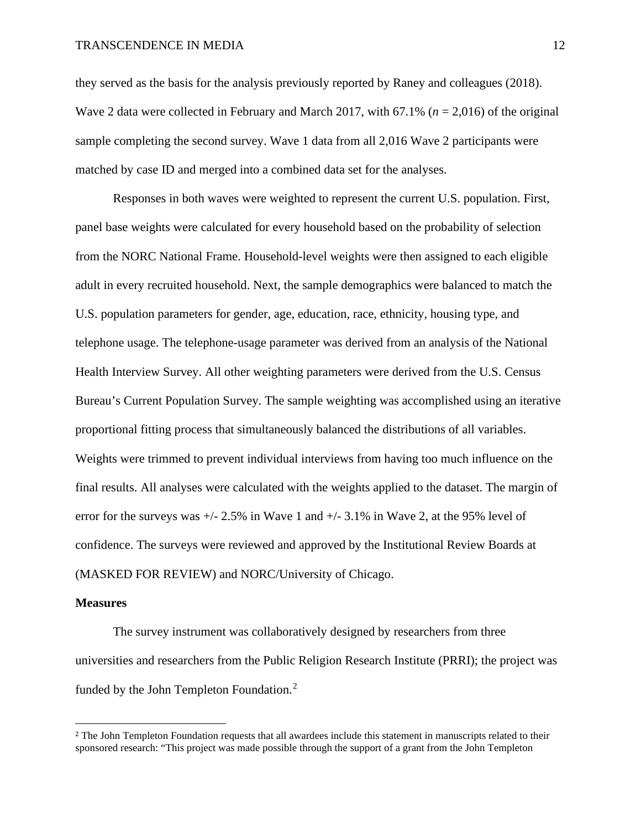they served as the basis for the analysis previously reported by Raney and colleagues (2018). Wave 2 data were collected in February and March 2017, with 67.1% (*n* = 2,016) of the original sample completing the second survey. Wave 1 data from all 2,016 Wave 2 participants were matched by case ID and merged into a combined data set for the analyses.

Responses in both waves were weighted to represent the current U.S. population. First, panel base weights were calculated for every household based on the probability of selection from the NORC National Frame. Household-level weights were then assigned to each eligible adult in every recruited household. Next, the sample demographics were balanced to match the U.S. population parameters for gender, age, education, race, ethnicity, housing type, and telephone usage. The telephone-usage parameter was derived from an analysis of the National Health Interview Survey. All other weighting parameters were derived from the U.S. Census Bureau's Current Population Survey. The sample weighting was accomplished using an iterative proportional fitting process that simultaneously balanced the distributions of all variables. Weights were trimmed to prevent individual interviews from having too much influence on the final results. All analyses were calculated with the weights applied to the dataset. The margin of error for the surveys was  $+/- 2.5\%$  in Wave 1 and  $+/- 3.1\%$  in Wave 2, at the 95% level of confidence. The surveys were reviewed and approved by the Institutional Review Boards at (MASKED FOR REVIEW) and NORC/University of Chicago.

#### **Measures**

The survey instrument was collaboratively designed by researchers from three universities and researchers from the Public Religion Research Institute (PRRI); the project was funded by the John Templeton Foundation.<sup>[2](#page-11-0)</sup>

<span id="page-11-0"></span><sup>&</sup>lt;sup>2</sup> The John Templeton Foundation requests that all awardees include this statement in manuscripts related to their sponsored research: "This project was made possible through the support of a grant from the John Templeton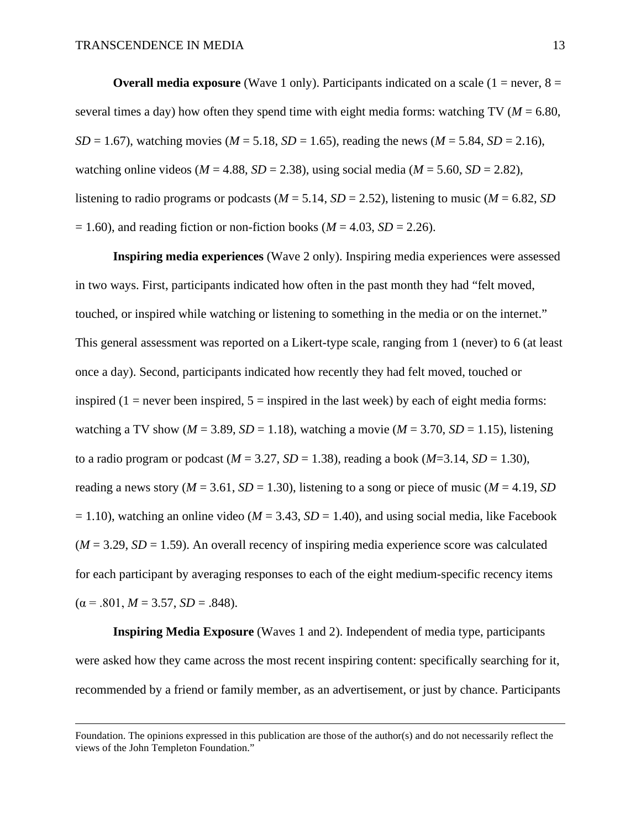**Overall media exposure** (Wave 1 only). Participants indicated on a scale  $(1 = never, 8 = 1)$ several times a day) how often they spend time with eight media forms: watching TV ( $M = 6.80$ , *SD* = 1.67), watching movies (*M* = 5.18, *SD* = 1.65), reading the news (*M* = 5.84, *SD* = 2.16), watching online videos ( $M = 4.88$ ,  $SD = 2.38$ ), using social media ( $M = 5.60$ ,  $SD = 2.82$ ), listening to radio programs or podcasts ( $M = 5.14$ ,  $SD = 2.52$ ), listening to music ( $M = 6.82$ , *SD*  $= 1.60$ ), and reading fiction or non-fiction books ( $M = 4.03$ ,  $SD = 2.26$ ).

**Inspiring media experiences** (Wave 2 only). Inspiring media experiences were assessed in two ways. First, participants indicated how often in the past month they had "felt moved, touched, or inspired while watching or listening to something in the media or on the internet." This general assessment was reported on a Likert-type scale, ranging from 1 (never) to 6 (at least once a day). Second, participants indicated how recently they had felt moved, touched or inspired  $(1 =$  never been inspired,  $5 =$  inspired in the last week) by each of eight media forms: watching a TV show ( $M = 3.89$ ,  $SD = 1.18$ ), watching a movie ( $M = 3.70$ ,  $SD = 1.15$ ), listening to a radio program or podcast  $(M = 3.27, SD = 1.38)$ , reading a book  $(M = 3.14, SD = 1.30)$ , reading a news story ( $M = 3.61$ ,  $SD = 1.30$ ), listening to a song or piece of music ( $M = 4.19$ ,  $SD$  $= 1.10$ ), watching an online video ( $M = 3.43$ ,  $SD = 1.40$ ), and using social media, like Facebook  $(M = 3.29, SD = 1.59)$ . An overall recency of inspiring media experience score was calculated for each participant by averaging responses to each of the eight medium-specific recency items  $(\alpha = .801, M = 3.57, SD = .848).$ 

**Inspiring Media Exposure** (Waves 1 and 2). Independent of media type, participants were asked how they came across the most recent inspiring content: specifically searching for it, recommended by a friend or family member, as an advertisement, or just by chance. Participants

Foundation. The opinions expressed in this publication are those of the author(s) and do not necessarily reflect the views of the John Templeton Foundation."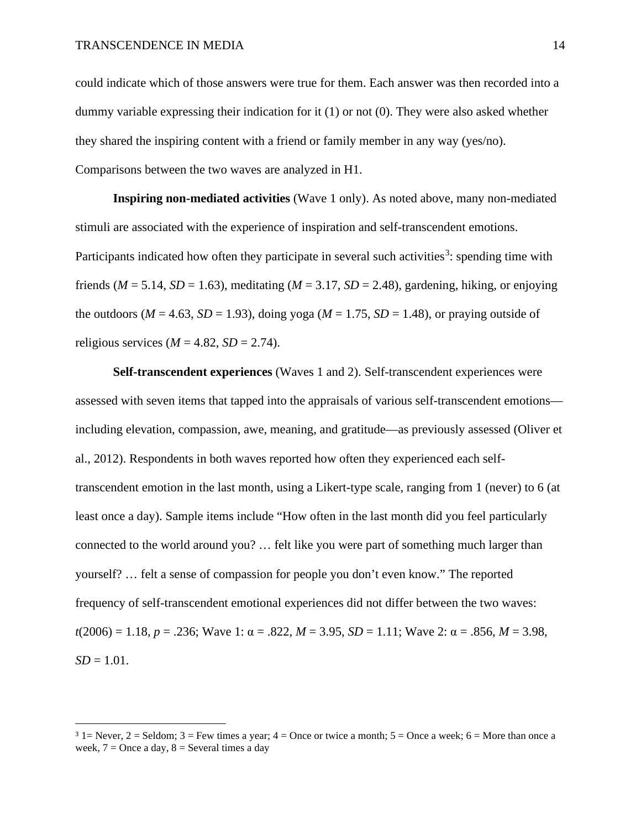could indicate which of those answers were true for them. Each answer was then recorded into a dummy variable expressing their indication for it (1) or not (0). They were also asked whether they shared the inspiring content with a friend or family member in any way (yes/no). Comparisons between the two waves are analyzed in H1.

**Inspiring non-mediated activities** (Wave 1 only). As noted above, many non-mediated stimuli are associated with the experience of inspiration and self-transcendent emotions. Participants indicated how often they participate in several such activities<sup>[3](#page-13-0)</sup>: spending time with friends ( $M = 5.14$ ,  $SD = 1.63$ ), meditating ( $M = 3.17$ ,  $SD = 2.48$ ), gardening, hiking, or enjoying the outdoors ( $M = 4.63$ ,  $SD = 1.93$ ), doing yoga ( $M = 1.75$ ,  $SD = 1.48$ ), or praying outside of religious services ( $M = 4.82$ ,  $SD = 2.74$ ).

**Self-transcendent experiences** (Waves 1 and 2). Self-transcendent experiences were assessed with seven items that tapped into the appraisals of various self-transcendent emotions including elevation, compassion, awe, meaning, and gratitude—as previously assessed (Oliver et al., 2012). Respondents in both waves reported how often they experienced each selftranscendent emotion in the last month, using a Likert-type scale, ranging from 1 (never) to 6 (at least once a day). Sample items include "How often in the last month did you feel particularly connected to the world around you? … felt like you were part of something much larger than yourself? … felt a sense of compassion for people you don't even know." The reported frequency of self-transcendent emotional experiences did not differ between the two waves: *t*(2006) = 1.18, *p* = .236; Wave 1: α = .822, *M* = 3.95, *SD* = 1.11; Wave 2: α = .856, *M* = 3.98,  $SD = 1.01$ .

<span id="page-13-0"></span> $3$  1 = Never, 2 = Seldom; 3 = Few times a year; 4 = Once or twice a month; 5 = Once a week; 6 = More than once a week,  $7 =$ Once a day,  $8 =$ Several times a day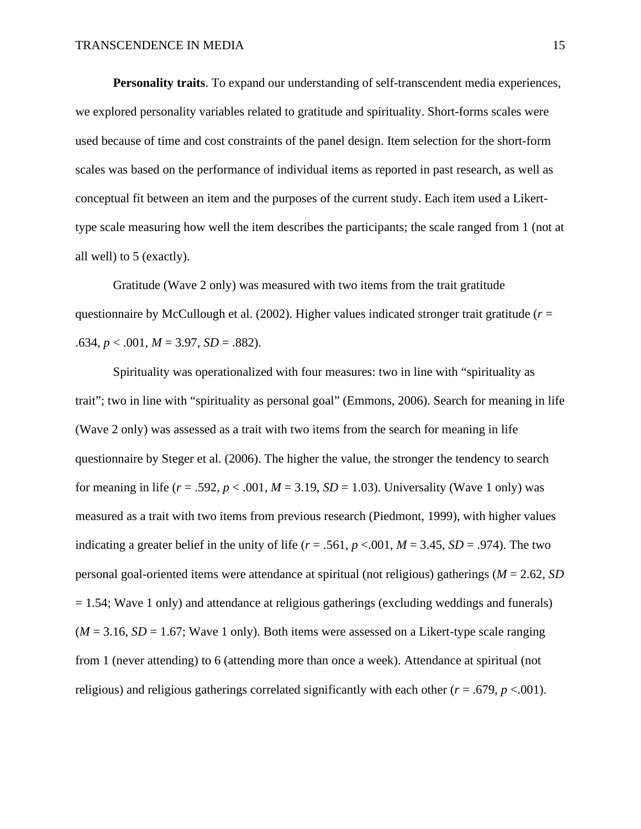**Personality traits**. To expand our understanding of self-transcendent media experiences, we explored personality variables related to gratitude and spirituality. Short-forms scales were used because of time and cost constraints of the panel design. Item selection for the short-form scales was based on the performance of individual items as reported in past research, as well as conceptual fit between an item and the purposes of the current study. Each item used a Likerttype scale measuring how well the item describes the participants; the scale ranged from 1 (not at all well) to 5 (exactly).

Gratitude (Wave 2 only) was measured with two items from the trait gratitude questionnaire by McCullough et al. (2002). Higher values indicated stronger trait gratitude ( $r =$  $.634, p < .001, M = 3.97, SD = .882$ .

Spirituality was operationalized with four measures: two in line with "spirituality as trait"; two in line with "spirituality as personal goal" (Emmons, 2006). Search for meaning in life (Wave 2 only) was assessed as a trait with two items from the search for meaning in life questionnaire by Steger et al. (2006). The higher the value, the stronger the tendency to search for meaning in life  $(r = .592, p < .001, M = 3.19, SD = 1.03)$ . Universality (Wave 1 only) was measured as a trait with two items from previous research (Piedmont, 1999), with higher values indicating a greater belief in the unity of life ( $r = .561$ ,  $p < .001$ ,  $M = 3.45$ ,  $SD = .974$ ). The two personal goal-oriented items were attendance at spiritual (not religious) gatherings (*M* = 2.62, *SD*  $= 1.54$ ; Wave 1 only) and attendance at religious gatherings (excluding weddings and funerals)  $(M = 3.16, SD = 1.67$ ; Wave 1 only). Both items were assessed on a Likert-type scale ranging from 1 (never attending) to 6 (attending more than once a week). Attendance at spiritual (not religious) and religious gatherings correlated significantly with each other ( $r = .679$ ,  $p < .001$ ).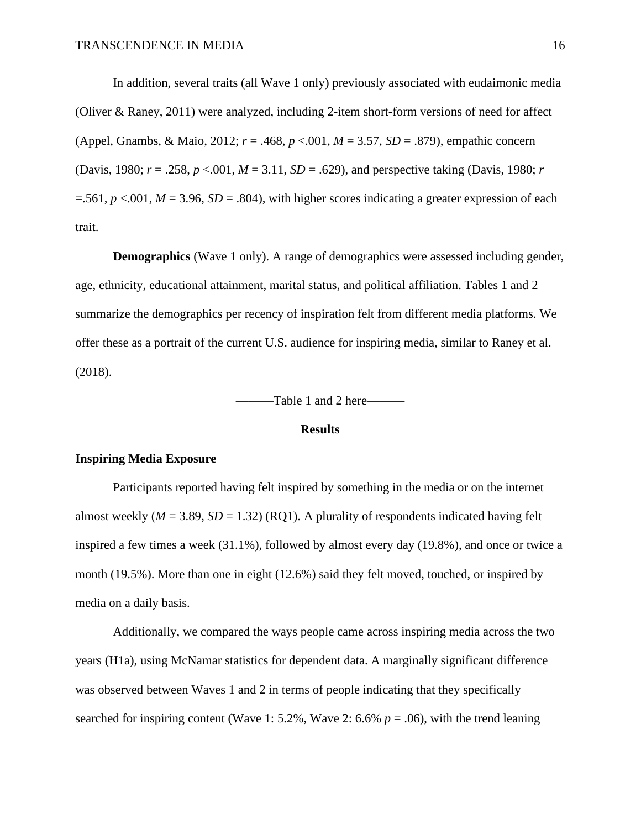In addition, several traits (all Wave 1 only) previously associated with eudaimonic media (Oliver & Raney, 2011) were analyzed, including 2-item short-form versions of need for affect (Appel, Gnambs, & Maio, 2012; *r* = .468, *p* <.001, *M* = 3.57, *SD* = .879), empathic concern (Davis, 1980; *r* = .258, *p* <.001, *M* = 3.11, *SD* = .629), and perspective taking (Davis, 1980; *r*  $=561, p < 0.001, M = 3.96, SD = .804$ , with higher scores indicating a greater expression of each trait.

**Demographics** (Wave 1 only). A range of demographics were assessed including gender, age, ethnicity, educational attainment, marital status, and political affiliation. Tables 1 and 2 summarize the demographics per recency of inspiration felt from different media platforms. We offer these as a portrait of the current U.S. audience for inspiring media, similar to Raney et al. (2018).

———Table 1 and 2 here———

#### **Results**

#### **Inspiring Media Exposure**

Participants reported having felt inspired by something in the media or on the internet almost weekly  $(M = 3.89, SD = 1.32)$  (RQ1). A plurality of respondents indicated having felt inspired a few times a week (31.1%), followed by almost every day (19.8%), and once or twice a month (19.5%). More than one in eight (12.6%) said they felt moved, touched, or inspired by media on a daily basis.

Additionally, we compared the ways people came across inspiring media across the two years (H1a), using McNamar statistics for dependent data. A marginally significant difference was observed between Waves 1 and 2 in terms of people indicating that they specifically searched for inspiring content (Wave 1: 5.2%, Wave 2: 6.6%  $p = .06$ ), with the trend leaning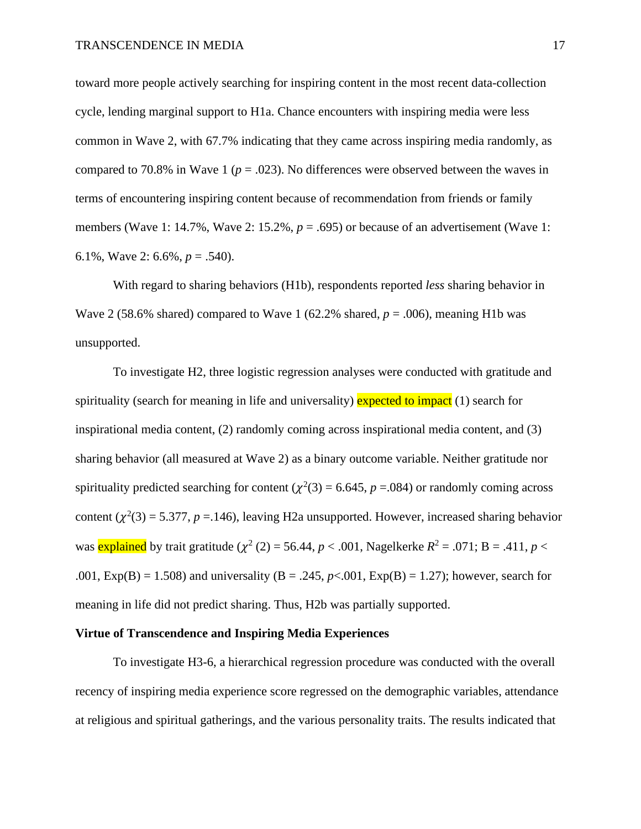toward more people actively searching for inspiring content in the most recent data-collection cycle, lending marginal support to H1a. Chance encounters with inspiring media were less common in Wave 2, with 67.7% indicating that they came across inspiring media randomly, as compared to 70.8% in Wave 1 ( $p = .023$ ). No differences were observed between the waves in terms of encountering inspiring content because of recommendation from friends or family members (Wave 1: 14.7%, Wave 2: 15.2%,  $p = .695$ ) or because of an advertisement (Wave 1: 6.1%, Wave 2: 6.6%, *p* = .540).

With regard to sharing behaviors (H1b), respondents reported *less* sharing behavior in Wave 2 (58.6% shared) compared to Wave 1 (62.2% shared,  $p = .006$ ), meaning H1b was unsupported.

To investigate H2, three logistic regression analyses were conducted with gratitude and spirituality (search for meaning in life and universality) expected to impact  $(1)$  search for inspirational media content, (2) randomly coming across inspirational media content, and (3) sharing behavior (all measured at Wave 2) as a binary outcome variable. Neither gratitude nor spirituality predicted searching for content ( $\chi^2(3) = 6.645$ ,  $p = .084$ ) or randomly coming across content  $(\chi^2(3) = 5.377, p = 146)$ , leaving H2a unsupported. However, increased sharing behavior was **explained** by trait gratitude ( $\chi^2$  (2) = 56.44, *p* < .001, Nagelkerke  $R^2$  = .071; B = .411, *p* < .001,  $Exp(B) = 1.508$ ) and universality ( $B = .245$ ,  $p < .001$ ,  $Exp(B) = 1.27$ ); however, search for meaning in life did not predict sharing. Thus, H2b was partially supported.

#### **Virtue of Transcendence and Inspiring Media Experiences**

To investigate H3-6, a hierarchical regression procedure was conducted with the overall recency of inspiring media experience score regressed on the demographic variables, attendance at religious and spiritual gatherings, and the various personality traits. The results indicated that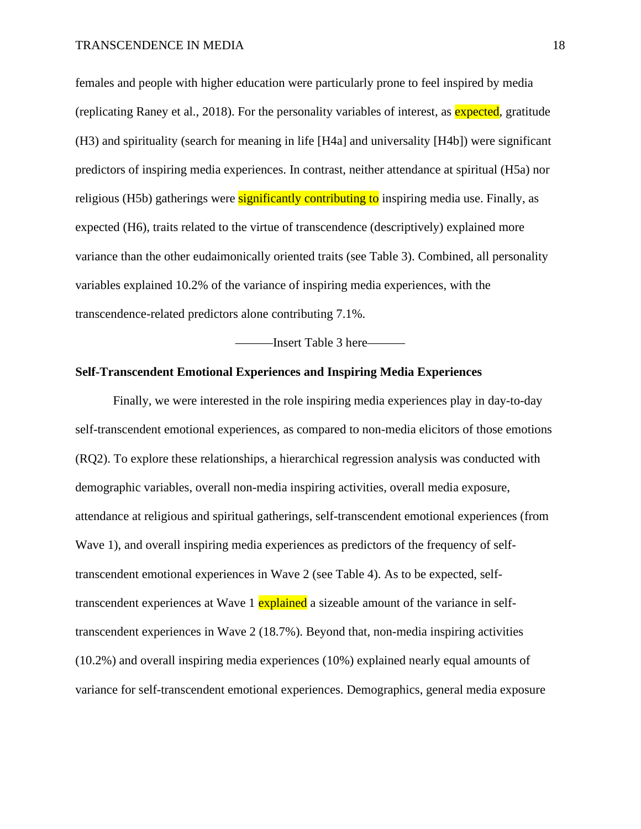females and people with higher education were particularly prone to feel inspired by media (replicating Raney et al., 2018). For the personality variables of interest, as expected, gratitude (H3) and spirituality (search for meaning in life [H4a] and universality [H4b]) were significant predictors of inspiring media experiences. In contrast, neither attendance at spiritual (H5a) nor religious (H5b) gatherings were significantly contributing to inspiring media use. Finally, as expected (H6), traits related to the virtue of transcendence (descriptively) explained more variance than the other eudaimonically oriented traits (see Table 3). Combined, all personality variables explained 10.2% of the variance of inspiring media experiences, with the transcendence-related predictors alone contributing 7.1%.

———Insert Table 3 here———

## **Self-Transcendent Emotional Experiences and Inspiring Media Experiences**

Finally, we were interested in the role inspiring media experiences play in day-to-day self-transcendent emotional experiences, as compared to non-media elicitors of those emotions (RQ2). To explore these relationships, a hierarchical regression analysis was conducted with demographic variables, overall non-media inspiring activities, overall media exposure, attendance at religious and spiritual gatherings, self-transcendent emotional experiences (from Wave 1), and overall inspiring media experiences as predictors of the frequency of selftranscendent emotional experiences in Wave 2 (see Table 4). As to be expected, selftranscendent experiences at Wave 1 explained a sizeable amount of the variance in selftranscendent experiences in Wave 2 (18.7%). Beyond that, non-media inspiring activities (10.2%) and overall inspiring media experiences (10%) explained nearly equal amounts of variance for self-transcendent emotional experiences. Demographics, general media exposure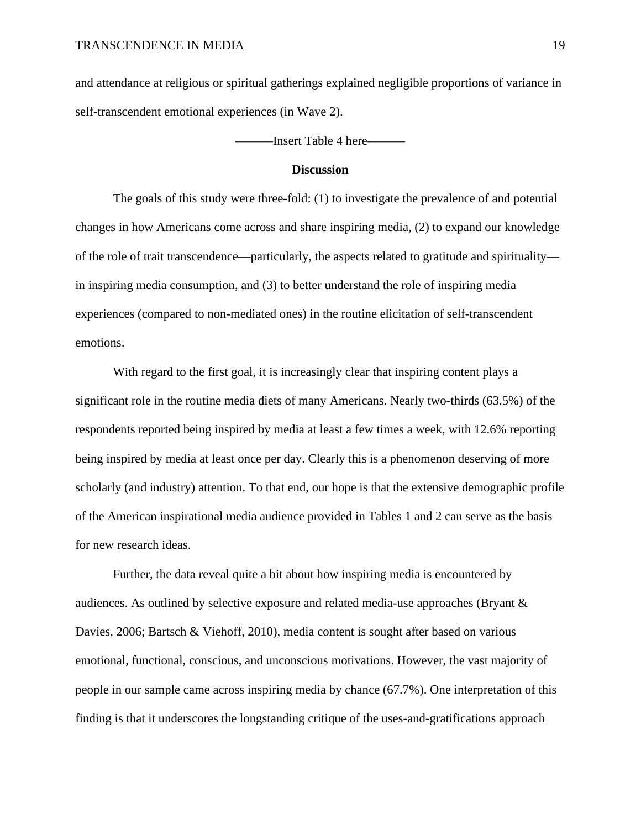and attendance at religious or spiritual gatherings explained negligible proportions of variance in self-transcendent emotional experiences (in Wave 2).

———Insert Table 4 here———

#### **Discussion**

The goals of this study were three-fold: (1) to investigate the prevalence of and potential changes in how Americans come across and share inspiring media, (2) to expand our knowledge of the role of trait transcendence—particularly, the aspects related to gratitude and spirituality in inspiring media consumption, and (3) to better understand the role of inspiring media experiences (compared to non-mediated ones) in the routine elicitation of self-transcendent emotions.

With regard to the first goal, it is increasingly clear that inspiring content plays a significant role in the routine media diets of many Americans. Nearly two-thirds (63.5%) of the respondents reported being inspired by media at least a few times a week, with 12.6% reporting being inspired by media at least once per day. Clearly this is a phenomenon deserving of more scholarly (and industry) attention. To that end, our hope is that the extensive demographic profile of the American inspirational media audience provided in Tables 1 and 2 can serve as the basis for new research ideas.

Further, the data reveal quite a bit about how inspiring media is encountered by audiences. As outlined by selective exposure and related media-use approaches (Bryant & Davies, 2006; Bartsch & Viehoff, 2010), media content is sought after based on various emotional, functional, conscious, and unconscious motivations. However, the vast majority of people in our sample came across inspiring media by chance (67.7%). One interpretation of this finding is that it underscores the longstanding critique of the uses-and-gratifications approach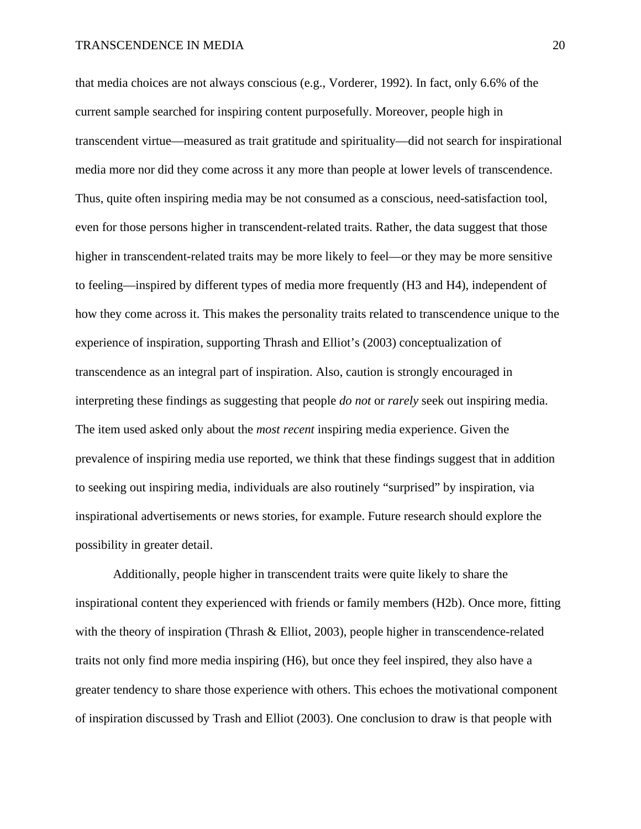that media choices are not always conscious (e.g., Vorderer, 1992). In fact, only 6.6% of the current sample searched for inspiring content purposefully. Moreover, people high in transcendent virtue—measured as trait gratitude and spirituality—did not search for inspirational media more nor did they come across it any more than people at lower levels of transcendence. Thus, quite often inspiring media may be not consumed as a conscious, need-satisfaction tool, even for those persons higher in transcendent-related traits. Rather, the data suggest that those higher in transcendent-related traits may be more likely to feel—or they may be more sensitive to feeling—inspired by different types of media more frequently (H3 and H4), independent of how they come across it. This makes the personality traits related to transcendence unique to the experience of inspiration, supporting Thrash and Elliot's (2003) conceptualization of transcendence as an integral part of inspiration. Also, caution is strongly encouraged in interpreting these findings as suggesting that people *do not* or *rarely* seek out inspiring media. The item used asked only about the *most recent* inspiring media experience. Given the prevalence of inspiring media use reported, we think that these findings suggest that in addition to seeking out inspiring media, individuals are also routinely "surprised" by inspiration, via inspirational advertisements or news stories, for example. Future research should explore the possibility in greater detail.

Additionally, people higher in transcendent traits were quite likely to share the inspirational content they experienced with friends or family members (H2b). Once more, fitting with the theory of inspiration (Thrash & Elliot, 2003), people higher in transcendence-related traits not only find more media inspiring (H6), but once they feel inspired, they also have a greater tendency to share those experience with others. This echoes the motivational component of inspiration discussed by Trash and Elliot (2003). One conclusion to draw is that people with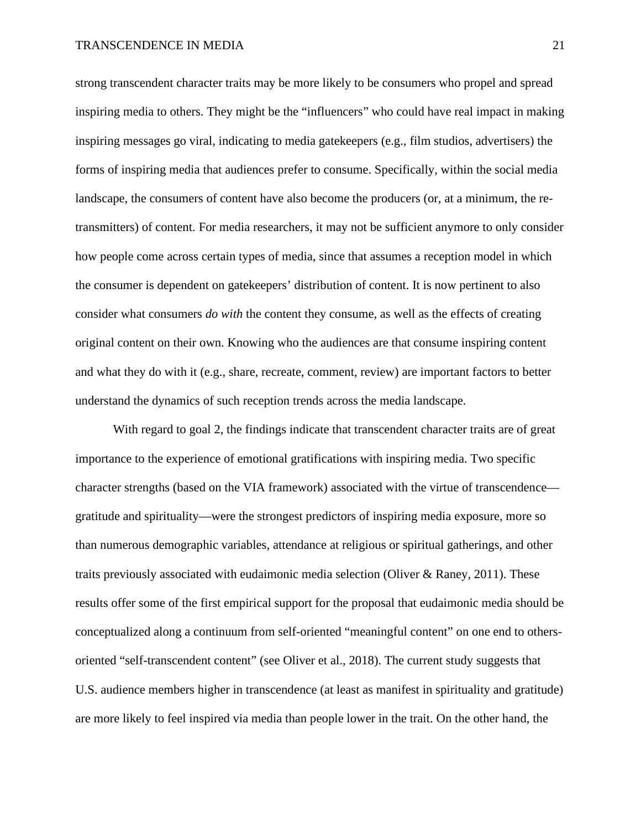strong transcendent character traits may be more likely to be consumers who propel and spread inspiring media to others. They might be the "influencers" who could have real impact in making inspiring messages go viral, indicating to media gatekeepers (e.g., film studios, advertisers) the forms of inspiring media that audiences prefer to consume. Specifically, within the social media landscape, the consumers of content have also become the producers (or, at a minimum, the retransmitters) of content. For media researchers, it may not be sufficient anymore to only consider how people come across certain types of media, since that assumes a reception model in which the consumer is dependent on gatekeepers' distribution of content. It is now pertinent to also consider what consumers *do with* the content they consume, as well as the effects of creating original content on their own. Knowing who the audiences are that consume inspiring content and what they do with it (e.g., share, recreate, comment, review) are important factors to better understand the dynamics of such reception trends across the media landscape.

With regard to goal 2, the findings indicate that transcendent character traits are of great importance to the experience of emotional gratifications with inspiring media. Two specific character strengths (based on the VIA framework) associated with the virtue of transcendence gratitude and spirituality—were the strongest predictors of inspiring media exposure, more so than numerous demographic variables, attendance at religious or spiritual gatherings, and other traits previously associated with eudaimonic media selection (Oliver & Raney, 2011). These results offer some of the first empirical support for the proposal that eudaimonic media should be conceptualized along a continuum from self-oriented "meaningful content" on one end to othersoriented "self-transcendent content" (see Oliver et al., 2018). The current study suggests that U.S. audience members higher in transcendence (at least as manifest in spirituality and gratitude) are more likely to feel inspired via media than people lower in the trait. On the other hand, the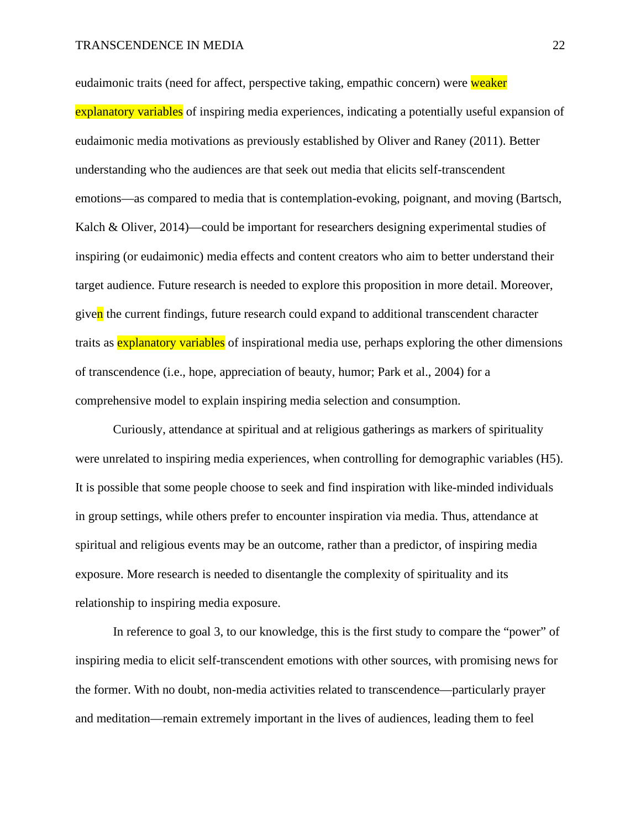eudaimonic traits (need for affect, perspective taking, empathic concern) were weaker explanatory variables of inspiring media experiences, indicating a potentially useful expansion of eudaimonic media motivations as previously established by Oliver and Raney (2011). Better understanding who the audiences are that seek out media that elicits self-transcendent emotions—as compared to media that is contemplation-evoking, poignant, and moving (Bartsch, Kalch & Oliver, 2014)—could be important for researchers designing experimental studies of inspiring (or eudaimonic) media effects and content creators who aim to better understand their target audience. Future research is needed to explore this proposition in more detail. Moreover, given the current findings, future research could expand to additional transcendent character traits as **explanatory variables** of inspirational media use, perhaps exploring the other dimensions of transcendence (i.e., hope, appreciation of beauty, humor; Park et al., 2004) for a comprehensive model to explain inspiring media selection and consumption.

Curiously, attendance at spiritual and at religious gatherings as markers of spirituality were unrelated to inspiring media experiences, when controlling for demographic variables (H5). It is possible that some people choose to seek and find inspiration with like-minded individuals in group settings, while others prefer to encounter inspiration via media. Thus, attendance at spiritual and religious events may be an outcome, rather than a predictor, of inspiring media exposure. More research is needed to disentangle the complexity of spirituality and its relationship to inspiring media exposure.

In reference to goal 3, to our knowledge, this is the first study to compare the "power" of inspiring media to elicit self-transcendent emotions with other sources, with promising news for the former. With no doubt, non-media activities related to transcendence—particularly prayer and meditation—remain extremely important in the lives of audiences, leading them to feel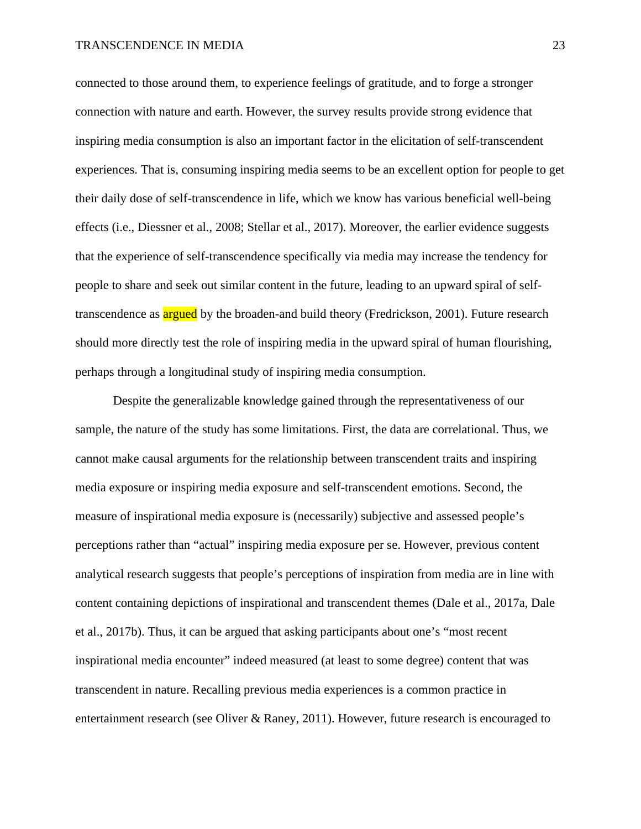connected to those around them, to experience feelings of gratitude, and to forge a stronger connection with nature and earth. However, the survey results provide strong evidence that inspiring media consumption is also an important factor in the elicitation of self-transcendent experiences. That is, consuming inspiring media seems to be an excellent option for people to get their daily dose of self-transcendence in life, which we know has various beneficial well-being effects (i.e., Diessner et al., 2008; Stellar et al., 2017). Moreover, the earlier evidence suggests that the experience of self-transcendence specifically via media may increase the tendency for people to share and seek out similar content in the future, leading to an upward spiral of selftranscendence as **argued** by the broaden-and build theory (Fredrickson, 2001). Future research should more directly test the role of inspiring media in the upward spiral of human flourishing, perhaps through a longitudinal study of inspiring media consumption.

Despite the generalizable knowledge gained through the representativeness of our sample, the nature of the study has some limitations. First, the data are correlational. Thus, we cannot make causal arguments for the relationship between transcendent traits and inspiring media exposure or inspiring media exposure and self-transcendent emotions. Second, the measure of inspirational media exposure is (necessarily) subjective and assessed people's perceptions rather than "actual" inspiring media exposure per se. However, previous content analytical research suggests that people's perceptions of inspiration from media are in line with content containing depictions of inspirational and transcendent themes (Dale et al., 2017a, Dale et al., 2017b). Thus, it can be argued that asking participants about one's "most recent inspirational media encounter" indeed measured (at least to some degree) content that was transcendent in nature. Recalling previous media experiences is a common practice in entertainment research (see Oliver & Raney, 2011). However, future research is encouraged to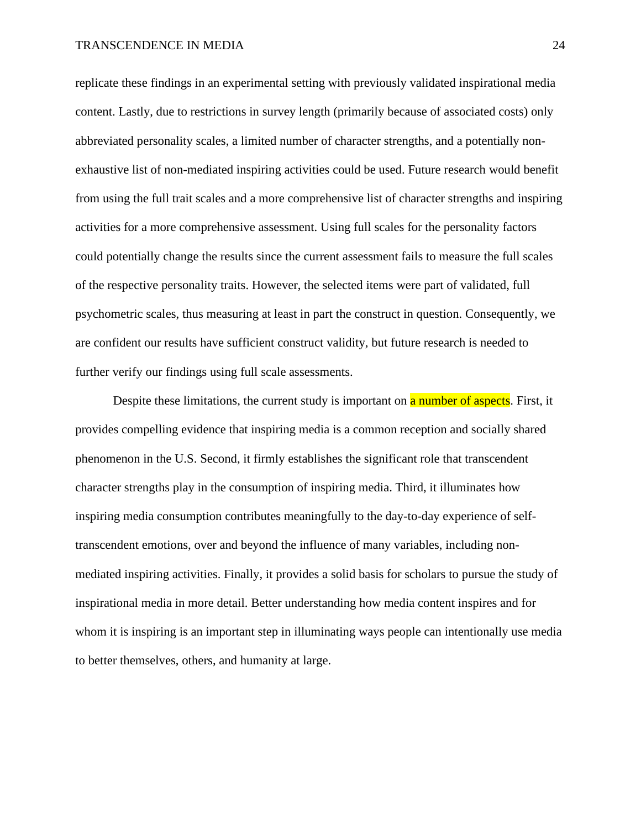replicate these findings in an experimental setting with previously validated inspirational media content. Lastly, due to restrictions in survey length (primarily because of associated costs) only abbreviated personality scales, a limited number of character strengths, and a potentially nonexhaustive list of non-mediated inspiring activities could be used. Future research would benefit from using the full trait scales and a more comprehensive list of character strengths and inspiring activities for a more comprehensive assessment. Using full scales for the personality factors could potentially change the results since the current assessment fails to measure the full scales of the respective personality traits. However, the selected items were part of validated, full psychometric scales, thus measuring at least in part the construct in question. Consequently, we are confident our results have sufficient construct validity, but future research is needed to further verify our findings using full scale assessments.

Despite these limitations, the current study is important on **a number of aspects**. First, it provides compelling evidence that inspiring media is a common reception and socially shared phenomenon in the U.S. Second, it firmly establishes the significant role that transcendent character strengths play in the consumption of inspiring media. Third, it illuminates how inspiring media consumption contributes meaningfully to the day-to-day experience of selftranscendent emotions, over and beyond the influence of many variables, including nonmediated inspiring activities. Finally, it provides a solid basis for scholars to pursue the study of inspirational media in more detail. Better understanding how media content inspires and for whom it is inspiring is an important step in illuminating ways people can intentionally use media to better themselves, others, and humanity at large.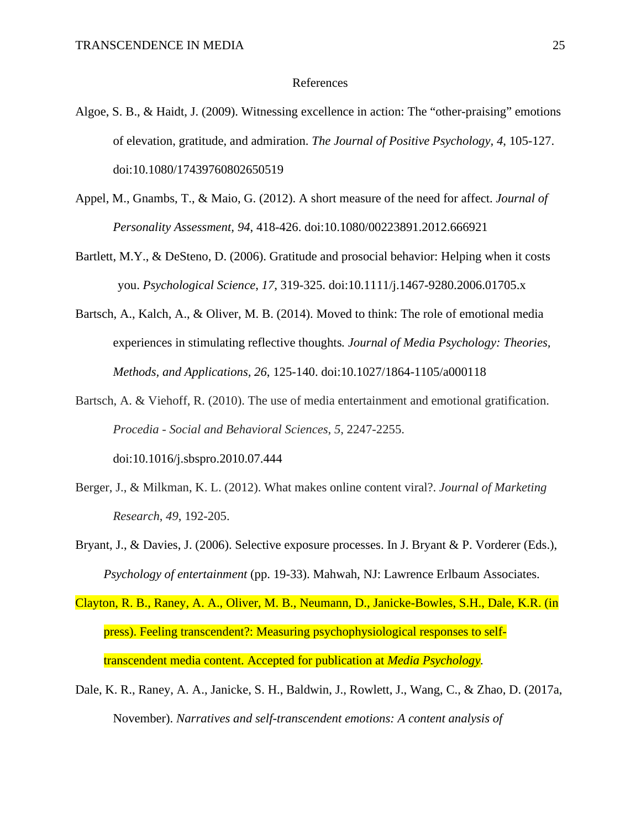#### References

- Algoe, S. B., & Haidt, J. (2009). Witnessing excellence in action: The "other-praising" emotions of elevation, gratitude, and admiration. *The Journal of Positive Psychology, 4*, 105-127. doi:10.1080/17439760802650519
- Appel, M., Gnambs, T., & Maio, G. (2012). A short measure of the need for affect. *Journal of Personality Assessment, 94*, 418-426. doi:10.1080/00223891.2012.666921
- Bartlett, M.Y., & DeSteno, D. (2006). Gratitude and prosocial behavior: Helping when it costs you. *Psychological Science*, *17*, 319-325. doi:10.1111/j.1467-9280.2006.01705.x
- Bartsch, A., Kalch, A., & Oliver, M. B. (2014). Moved to think: The role of emotional media experiences in stimulating reflective thoughts*. Journal of Media Psychology: Theories, Methods, and Applications, 26*, 125-140. doi:10.1027/1864-1105/a000118
- Bartsch, A. & Viehoff, R. (2010). The use of media entertainment and emotional gratification. *Procedia - Social and Behavioral Sciences*, *5*, 2247-2255. doi:10.1016/j.sbspro.2010.07.444
- Berger, J., & Milkman, K. L. (2012). What makes online content viral?. *Journal of Marketing Research*, *49*, 192-205.
- Bryant, J., & Davies, J. (2006). Selective exposure processes. In J. Bryant & P. Vorderer (Eds.), *Psychology of entertainment* (pp. 19-33). Mahwah, NJ: Lawrence Erlbaum Associates.
- Clayton, R. B., Raney, A. A., Oliver, M. B., Neumann, D., Janicke-Bowles, S.H., Dale, K.R. (in press). Feeling transcendent?: Measuring psychophysiological responses to selftranscendent media content. Accepted for publication at *Media Psychology.*
- Dale, K. R., Raney, A. A., Janicke, S. H., Baldwin, J., Rowlett, J., Wang, C., & Zhao, D. (2017a, November). *Narratives and self-transcendent emotions: A content analysis of*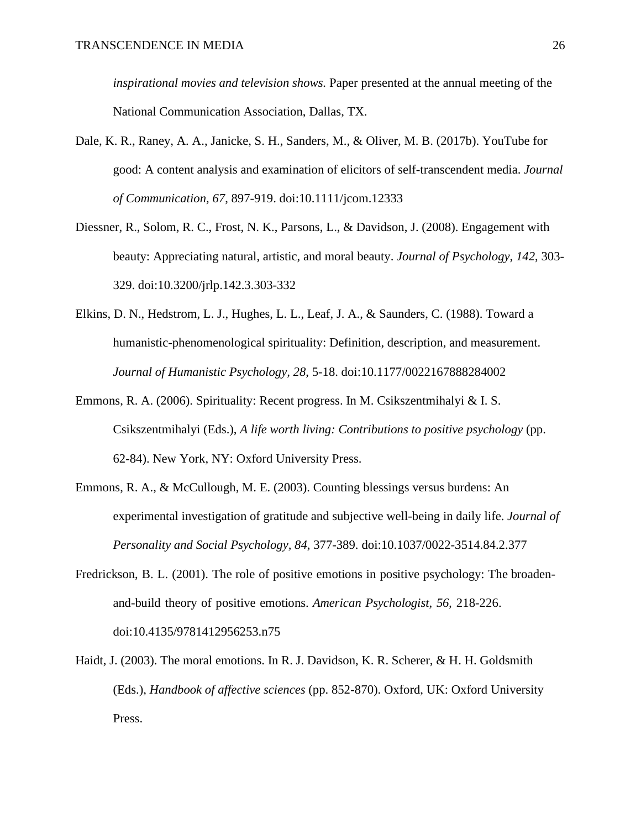*inspirational movies and television shows.* Paper presented at the annual meeting of the National Communication Association, Dallas, TX.

- Dale, K. R., Raney, A. A., Janicke, S. H., Sanders, M., & Oliver, M. B. (2017b). YouTube for good: A content analysis and examination of elicitors of self-transcendent media. *Journal of Communication, 67*, 897-919. doi:10.1111/jcom.12333
- Diessner, R., Solom, R. C., Frost, N. K., Parsons, L., & Davidson, J. (2008). Engagement with beauty: Appreciating natural, artistic, and moral beauty. *Journal of Psychology*, *142*, 303- 329. doi:10.3200/jrlp.142.3.303-332
- Elkins, D. N., Hedstrom, L. J., Hughes, L. L., Leaf, J. A., & Saunders, C. (1988). Toward a humanistic-phenomenological spirituality: Definition, description, and measurement. *Journal of Humanistic Psychology, 28*, 5-18. doi:10.1177/0022167888284002
- Emmons, R. A. (2006). Spirituality: Recent progress. In M. Csikszentmihalyi & I. S. Csikszentmihalyi (Eds.), *A life worth living: Contributions to positive psychology* (pp. 62-84). New York, NY: Oxford University Press.
- Emmons, R. A., & McCullough, M. E. (2003). Counting blessings versus burdens: An experimental investigation of gratitude and subjective well-being in daily life. *Journal of Personality and Social Psychology, 84*, 377-389. doi:10.1037/0022-3514.84.2.377
- Fredrickson, B. L. (2001). The role of positive emotions in positive psychology: The broadenand-build theory of positive emotions. *American Psychologist, 56,* 218-226. doi:10.4135/9781412956253.n75
- Haidt, J. (2003). The moral emotions. In R. J. Davidson, K. R. Scherer, & H. H. Goldsmith (Eds.), *Handbook of affective sciences* (pp. 852-870). Oxford, UK: Oxford University Press.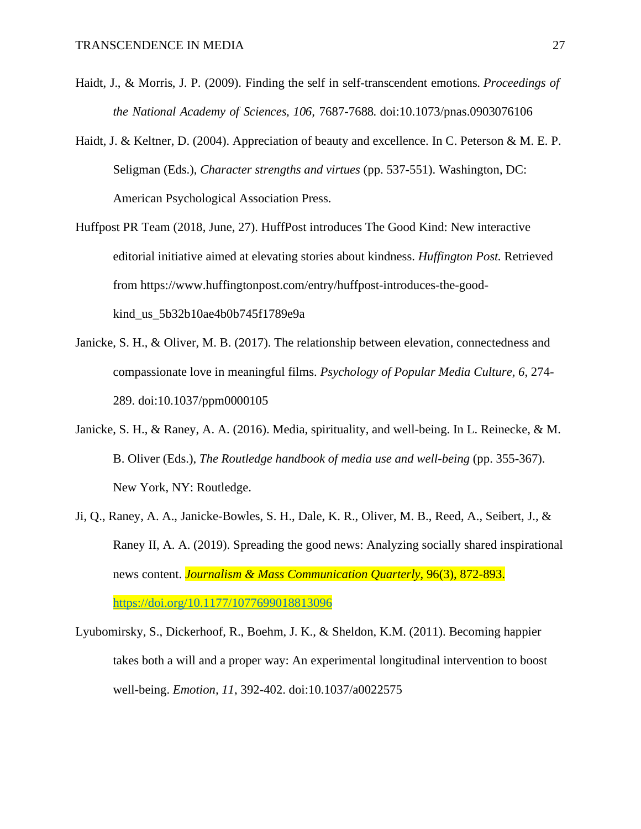- Haidt, J., & Morris, J. P. (2009). Finding the self in self-transcendent emotions. *Proceedings of the National Academy of Sciences, 106,* 7687-7688*.* doi:10.1073/pnas.0903076106
- Haidt, J. & Keltner, D. (2004). Appreciation of beauty and excellence. In C. Peterson & M. E. P. Seligman (Eds.), *Character strengths and virtues* (pp. 537-551). Washington, DC: American Psychological Association Press.
- Huffpost PR Team (2018, June, 27). HuffPost introduces The Good Kind: New interactive editorial initiative aimed at elevating stories about kindness. *Huffington Post.* Retrieved from https://www.huffingtonpost.com/entry/huffpost-introduces-the-goodkind\_us\_5b32b10ae4b0b745f1789e9a
- Janicke, S. H., & Oliver, M. B. (2017). The relationship between elevation, connectedness and compassionate love in meaningful films. *Psychology of Popular Media Culture, 6*, 274- 289. doi:10.1037/ppm0000105
- Janicke, S. H., & Raney, A. A. (2016). Media, spirituality, and well-being. In L. Reinecke, & M. B. Oliver (Eds.), *The Routledge handbook of media use and well-being* (pp. 355-367). New York, NY: Routledge.
- Ji, Q., Raney, A. A., Janicke-Bowles, S. H., Dale, K. R., Oliver, M. B., Reed, A., Seibert, J., & Raney II, A. A. (2019). Spreading the good news: Analyzing socially shared inspirational news content. *Journalism & Mass Communication Quarterly*, 96(3), 872-893. [https://doi.org/10.1177/1077699018813096](https://doi.org/10.1177%2F1077699018813096)
- Lyubomirsky, S., Dickerhoof, R., Boehm, J. K., & Sheldon, K.M. (2011). Becoming happier takes both a will and a proper way: An experimental longitudinal intervention to boost well-being. *Emotion, 11*, 392-402. doi:10.1037/a0022575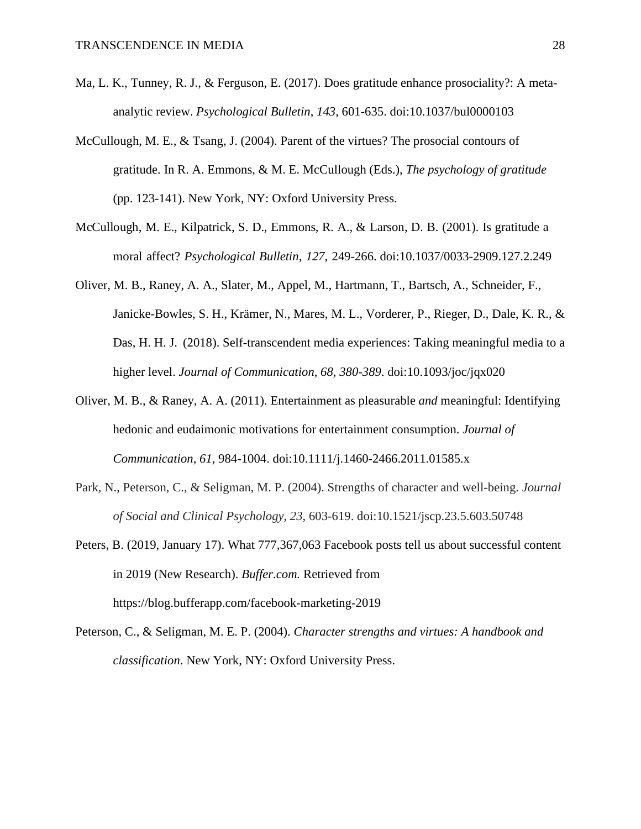- Ma, L. K., Tunney, R. J., & Ferguson, E. (2017). Does gratitude enhance prosociality?: A metaanalytic review. *Psychological Bulletin*, *143*, 601-635. doi:10.1037/bul0000103
- McCullough, M. E., & Tsang, J. (2004). Parent of the virtues? The prosocial contours of gratitude. In R. A. Emmons, & M. E. McCullough (Eds.), *The psychology of gratitude* (pp. 123-141). New York, NY: Oxford University Press.
- McCullough, M. E., Kilpatrick, S. D., Emmons, R. A., & Larson, D. B. (2001). Is gratitude a moral affect? *Psychological Bulletin, 127*, 249-266. doi:10.1037/0033-2909.127.2.249
- Oliver, M. B., Raney, A. A., Slater, M., Appel, M., Hartmann, T., Bartsch, A., Schneider, F., Janicke-Bowles, S. H., Krämer, N., Mares, M. L., Vorderer, P., Rieger, D., Dale, K. R., & Das, H. H. J. (2018). Self-transcendent media experiences: Taking meaningful media to a higher level. *Journal of Communication, 68, 380-389*. doi:10.1093/joc/jqx020
- Oliver, M. B., & Raney, A. A. (2011). Entertainment as pleasurable *and* meaningful: Identifying hedonic and eudaimonic motivations for entertainment consumption. *Journal of Communication, 61*, 984-1004. doi:10.1111/j.1460-2466.2011.01585.x
- Park, N., Peterson, C., & Seligman, M. P. (2004). Strengths of character and well-being. *Journal of Social and Clinical Psychology*, *23*, 603-619. doi:10.1521/jscp.23.5.603.50748
- Peters, B. (2019, January 17). What 777,367,063 Facebook posts tell us about successful content in 2019 (New Research). *Buffer.com.* Retrieved from https://blog.bufferapp.com/facebook-marketing-2019
- Peterson, C., & Seligman, M. E. P. (2004). *Character strengths and virtues: A handbook and classification*. New York, NY: Oxford University Press.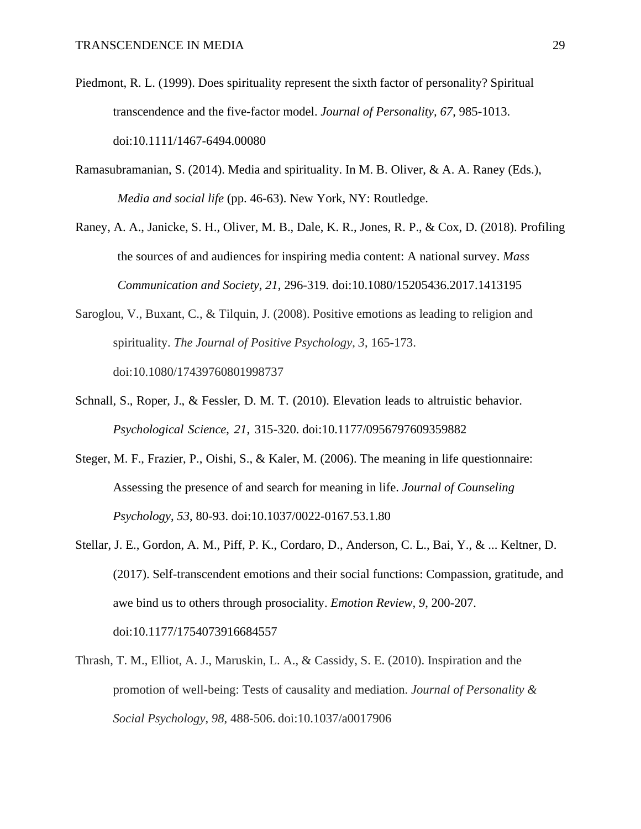- Piedmont, R. L. (1999). Does spirituality represent the sixth factor of personality? Spiritual transcendence and the five-factor model. *Journal of Personality, 67*, 985-1013. doi:10.1111/1467-6494.00080
- Ramasubramanian, S. (2014). Media and spirituality. In M. B. Oliver, & A. A. Raney (Eds.), *Media and social life* (pp. 46-63). New York, NY: Routledge.
- Raney, A. A., Janicke, S. H., Oliver, M. B., Dale, K. R., Jones, R. P., & Cox, D. (2018). Profiling the sources of and audiences for inspiring media content: A national survey. *Mass Communication and Society, 21*, 296-319*.* doi:10.1080/15205436.2017.1413195
- Saroglou, V., Buxant, C., & Tilquin, J. (2008). Positive emotions as leading to religion and spirituality. *The Journal of Positive Psychology*, *3*, 165-173. doi:10.1080/17439760801998737
- Schnall, S., Roper, J., & Fessler, D. M. T. (2010). Elevation leads to altruistic behavior. *Psychological Science*, *21*, 315-320. doi:10.1177/0956797609359882
- Steger, M. F., Frazier, P., Oishi, S., & Kaler, M. (2006). The meaning in life questionnaire: Assessing the presence of and search for meaning in life. *Journal of Counseling Psychology*, *53*, 80-93. doi:10.1037/0022-0167.53.1.80
- Stellar, J. E., Gordon, A. M., Piff, P. K., Cordaro, D., Anderson, C. L., Bai, Y., & ... Keltner, D. (2017). Self-transcendent emotions and their social functions: Compassion, gratitude, and awe bind us to others through prosociality. *Emotion Review, 9*, 200-207. doi:10.1177/1754073916684557
- Thrash, T. M., Elliot, A. J., Maruskin, L. A., & Cassidy, S. E. (2010). Inspiration and the promotion of well-being: Tests of causality and mediation. *Journal of Personality & Social Psychology*, *98*, 488-506. doi:10.1037/a0017906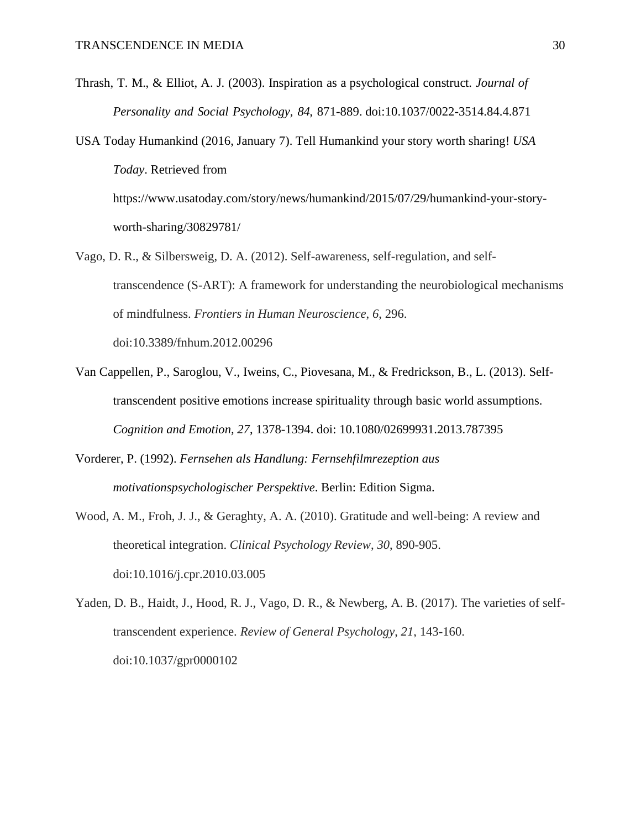- Thrash, T. M., & Elliot, A. J. (2003). Inspiration as a psychological construct. *Journal of Personality and Social Psychology, 84,* 871-889. doi:10.1037/0022-3514.84.4.871
- USA Today Humankind (2016, January 7). Tell Humankind your story worth sharing! *USA Today*. Retrieved from https://www.usatoday.com/story/news/humankind/2015/07/29/humankind-your-story-

worth-sharing/30829781/

- Vago, D. R., & Silbersweig, D. A. (2012). Self-awareness, self-regulation, and selftranscendence (S-ART): A framework for understanding the neurobiological mechanisms of mindfulness. *Frontiers in Human Neuroscience*, *6*, 296. doi:10.3389/fnhum.2012.00296
- Van Cappellen, P., Saroglou, V., Iweins, C., Piovesana, M., & Fredrickson, B., L. (2013). Selftranscendent positive emotions increase spirituality through basic world assumptions. *Cognition and Emotion, 27*, 1378-1394. doi: 10.1080/02699931.2013.787395
- Vorderer, P. (1992). *Fernsehen als Handlung: Fernsehfilmrezeption aus motivationspsychologischer Perspektive*. Berlin: Edition Sigma.
- Wood, A. M., Froh, J. J., & Geraghty, A. A. (2010). Gratitude and well-being: A review and theoretical integration. *Clinical Psychology Review*, *30*, 890-905. doi:10.1016/j.cpr.2010.03.005
- Yaden, D. B., Haidt, J., Hood, R. J., Vago, D. R., & Newberg, A. B. (2017). The varieties of selftranscendent experience. *Review of General Psychology*, *21*, 143-160. doi:10.1037/gpr0000102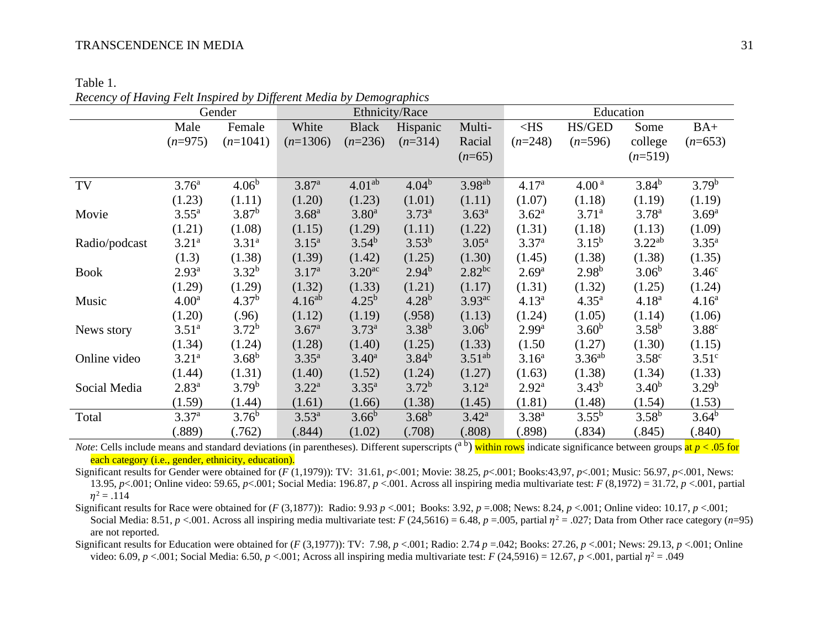Table 1.

Gender Ethnicity/Race Education Education Male (*n*=975) Female  $(n=1041)$ White (*n*=1306) Black (*n*=236) Hispanic  $(n=314)$ Multi-Racial  $(n=65)$  $<$ HS (*n*=248) HS/GED (*n*=596) Some college (*n*=519)  $BA+$ (*n*=653) TV 3.76<sup>a</sup> (1.23)  $4.06<sup>b</sup>$ (1.11) 3.87a (1.20)  $4.01^{ab}$ (1.23)  $4.04<sup>b</sup>$ (1.01)  $3.98^{ab}$ (1.11)  $4.17<sup>a</sup>$ (1.07)  $4.00<sup>a</sup>$ (1.18)  $3.84^{b}$ (1.19)  $3.79<sup>b</sup>$ (1.19) Movie  $3.55^{\text{a}}$ (1.21) 3.87b (1.08) 3.68a (1.15) 3.80a (1.29) 3.73a (1.11)  $3.63<sup>a</sup>$ (1.22)  $3.62<sup>a</sup>$ (1.31) 3.71a (1.18) 3.78a (1.13)  $3.69<sup>a</sup>$ (1.09) Radio/podcast 3.21a (1.3) 3.31a (1.38)  $3.15^{\rm a}$ (1.39)  $3.54^{b}$ (1.42)  $3.53^{b}$ (1.25) 3.05a (1.30) 3.37<sup>a</sup> (1.45)  $3.15^{b}$ (1.38) 3.22ab (1.38) 3.35a (1.35) Book 2.93a (1.29) 3.32b (1.29) 3.17a (1.32) 3.20ac (1.33)  $2.94^{b}$ (1.21)  $2.82<sup>bc</sup>$ (1.17)  $2.69<sup>a</sup>$ (1.31)  $2.98<sup>b</sup>$ (1.32)  $3.06<sup>b</sup>$ (1.25)  $3.46<sup>c</sup>$ (1.24) Music 4.00<sup>a</sup> (1.20)  $4.37<sup>b</sup>$ (.96)  $4.16^{ab}$ (1.12)  $4.25^{b}$ (1.19)  $4.28^{b}$ (.958)  $3.93$ <sup>ac</sup> (1.13) 4.13<sup>a</sup> (1.24)  $4.35^{a}$  $(1.05)$ 4.18a (1.14)  $4.16<sup>a</sup>$ (1.06) News story  $3.51^{\text{a}}$ (1.34) 3.72b (1.24) 3.67a (1.28) 3.73a (1.40)  $3.38^{b}$ (1.25)  $3.06<sup>b</sup>$ (1.33) 2.99<sup>a</sup> (1.50  $3.60<sup>b</sup>$ (1.27)  $3.58<sup>b</sup>$ (1.30) 3.88c (1.15) Online video 3.21<sup>a</sup> (1.44)  $3.68^{b}$ (1.31) 3.35a (1.40)  $3.40^{\rm a}$ (1.52)  $3.84^{b}$ (1.24)  $3.51^{ab}$ (1.27) 3.16<sup>a</sup> (1.63)  $3.36<sup>ab</sup>$ (1.38) 3.58c (1.34)  $3.51<sup>c</sup>$ (1.33) Social Media 2.83<sup>a</sup> (1.59)  $3.79<sup>b</sup>$ (1.44) 3.22a (1.61) 3.35a (1.66)  $3.72<sup>b</sup>$ (1.38) 3.12a (1.45) 2.92<sup>a</sup> (1.81)  $3.43^b$ (1.48)  $3.40<sup>b</sup>$ (1.54)  $3.29<sup>b</sup>$ (1.53) Total 3.37<sup>a</sup> (.889)  $3.76<sup>b</sup>$ (.762)  $3.53^{a}$ (.844)  $3.66^b$ (1.02)  $3.68<sup>b</sup>$ (.708) 3.42a (.808) 3.38<sup>a</sup> (.898)  $3.55^{b}$ (.834)  $3.58<sup>b</sup>$ (.845)  $3.64^{b}$ (.840)

| Recency of Having Felt Inspired by Different Media by Demographics |
|--------------------------------------------------------------------|
|--------------------------------------------------------------------|

*Note*: Cells include means and standard deviations (in parentheses). Different superscripts (<sup>a b</sup>) within rows indicate significance between groups at *p* < .05 for each category (i.e., gender, ethnicity, education).

Significant results for Gender were obtained for (*F* (1,1979)): TV: 31.61, *p*<.001; Movie: 38.25, *p*<.001; Books:43,97, *p*<.001; Music: 56.97, *p*<.001, News: 13.95, *p*<.001; Online video: 59.65, *p*<.001; Social Media: 196.87, *p* <.001. Across all inspiring media multivariate test: *F* (8,1972) = 31.72, *p* <.001, partial  $n^2 = .114$ 

Significant results for Race were obtained for (*F* (3,1877)): Radio: 9.93 *p* <.001; Books: 3.92, *p* =.008; News: 8.24, *p* <.001; Online video: 10.17, *p* <.001; Social Media: 8.51,  $p < 0.01$ . Across all inspiring media multivariate test: *F* (24,5616) = 6.48, *p* = 0.005, partial  $\eta^2 = 0.027$ ; Data from Other race category (*n*=95) are not reported.

Significant results for Education were obtained for (*F* (3,1977)): TV: 7.98, *p* <.001; Radio: 2.74 *p* =.042; Books: 27.26, *p* <.001; News: 29.13, *p* <.001; Online video: 6.09,  $p < 0.01$ ; Social Media: 6.50,  $p < 0.01$ ; Across all inspiring media multivariate test:  $F(24,5916) = 12.67$ ,  $p < 0.01$ , partial  $\eta^2 = .049$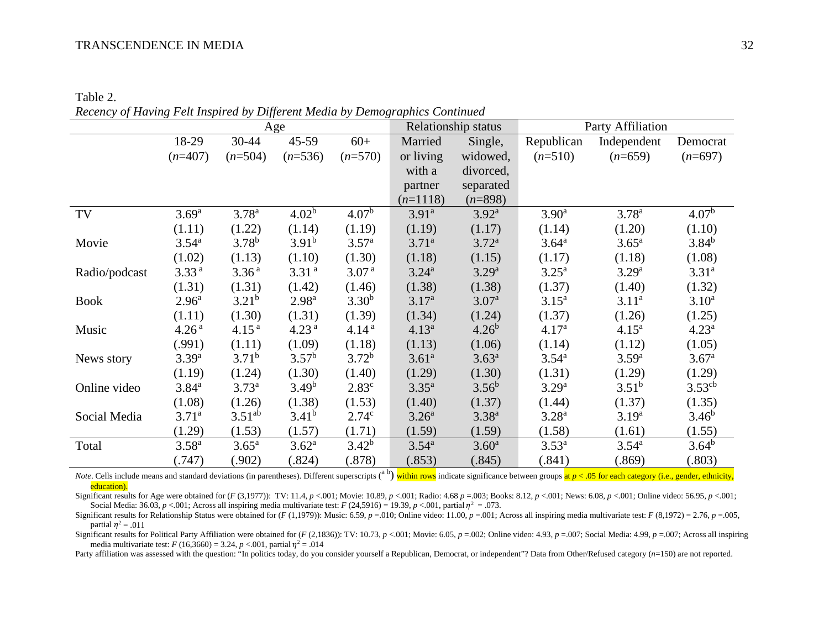Table 2. *Recency of Having Felt Inspired by Different Media by Demographics Continued*

|               | Age               |                   |                   | Relationship status |                   | Party Affiliation |                   |                   |                    |
|---------------|-------------------|-------------------|-------------------|---------------------|-------------------|-------------------|-------------------|-------------------|--------------------|
|               | 18-29             | 30-44             | 45-59             | $60+$               | Married           | Single,           | Republican        | Independent       | Democrat           |
|               | $(n=407)$         | $(n=504)$         | $(n=536)$         | $(n=570)$           | or living         | widowed,          | $(n=510)$         | $(n=659)$         | $(n=697)$          |
|               |                   |                   |                   |                     | with a            | divorced,         |                   |                   |                    |
|               |                   |                   |                   |                     | partner           | separated         |                   |                   |                    |
|               |                   |                   |                   |                     | $(n=1118)$        | $(n=898)$         |                   |                   |                    |
| TV            | 3.69 <sup>a</sup> | $3.78^{a}$        | 4.02 <sup>b</sup> | 4.07 <sup>b</sup>   | 3.91 <sup>a</sup> | $3.92^{a}$        | 3.90 <sup>a</sup> | $3.78^{a}$        | 4.07 <sup>b</sup>  |
|               | (1.11)            | (1.22)            | (1.14)            | (1.19)              | (1.19)            | (1.17)            | (1.14)            | (1.20)            | (1.10)             |
| Movie         | $3.54^{\rm a}$    | $3.78^{b}$        | 3.91 <sup>b</sup> | 3.57 <sup>a</sup>   | 3.71 <sup>a</sup> | 3.72 <sup>a</sup> | 3.64 <sup>a</sup> | $3.65^{\rm a}$    | $3.84^{b}$         |
|               | (1.02)            | (1.13)            | (1.10)            | (1.30)              | (1.18)            | (1.15)            | (1.17)            | (1.18)            | (1.08)             |
| Radio/podcast | 3.33 <sup>a</sup> | 3.36 <sup>a</sup> | 3.31 <sup>a</sup> | 3.07 <sup>a</sup>   | 3.24 <sup>a</sup> | $3.29^{a}$        | $3.25^{\rm a}$    | 3.29 <sup>a</sup> | $3.31^{a}$         |
|               | (1.31)            | (1.31)            | (1.42)            | (1.46)              | (1.38)            | (1.38)            | (1.37)            | (1.40)            | (1.32)             |
| <b>Book</b>   | 2.96 <sup>a</sup> | $3.21^{b}$        | 2.98 <sup>a</sup> | $3.30^{b}$          | 3.17 <sup>a</sup> | 3.07 <sup>a</sup> | $3.15^a$          | $3.11^a$          | $3.10^a$           |
|               | (1.11)            | (1.30)            | (1.31)            | (1.39)              | (1.34)            | (1.24)            | (1.37)            | (1.26)            | (1.25)             |
| Music         | 4.26 <sup>a</sup> | 4.15 <sup>a</sup> | 4.23 <sup>a</sup> | 4.14 <sup>a</sup>   | $4.13^{a}$        | $4.26^{b}$        | 4.17 <sup>a</sup> | $4.15^{\rm a}$    | $4.23^{\rm a}$     |
|               | (.991)            | (1.11)            | (1.09)            | (1.18)              | (1.13)            | (1.06)            | (1.14)            | (1.12)            | (1.05)             |
| News story    | 3.39 <sup>a</sup> | $3.71^{b}$        | 3.57 <sup>b</sup> | $3.72^{b}$          | 3.61 <sup>a</sup> | $3.63^{a}$        | $3.54^{a}$        | $3.59^{a}$        | 3.67 <sup>a</sup>  |
|               | (1.19)            | (1.24)            | (1.30)            | (1.40)              | (1.29)            | (1.30)            | (1.31)            | (1.29)            | (1.29)             |
| Online video  | $3.84^{a}$        | $3.73^{a}$        | 3.49 <sup>b</sup> | 2.83 <sup>c</sup>   | $3.35^{a}$        | $3.56^{b}$        | 3.29 <sup>a</sup> | $3.51^{b}$        | 3.53 <sup>cb</sup> |
|               | (1.08)            | (1.26)            | (1.38)            | (1.53)              | (1.40)            | (1.37)            | (1.44)            | (1.37)            | (1.35)             |
| Social Media  | 3.71 <sup>a</sup> | $3.51^{ab}$       | $3.41^{b}$        | 2.74 <sup>c</sup>   | 3.26 <sup>a</sup> | $3.38^{a}$        | $3.28^{a}$        | 3.19 <sup>a</sup> | 3.46 <sup>b</sup>  |
|               | (1.29)            | (1.53)            | (1.57)            | (1.71)              | (1.59)            | (1.59)            | (1.58)            | (1.61)            | (1.55)             |
| Total         | $3.58^{a}$        | $3.65^{\rm a}$    | 3.62 <sup>a</sup> | $3.42^{b}$          | $3.54^{a}$        | 3.60 <sup>a</sup> | $3.53^{a}$        | $3.54^{\rm a}$    | $3.64^{b}$         |
|               | (.747)            | (.902)            | (.824)            | (.878)              | (.853)            | (.845)            | (.841)            | (.869)            | (.803)             |

Note. Cells include means and standard deviations (in parentheses). Different superscripts (<sup>a b</sup>) within rows indicate significance between groups at *p* < .05 for each category (i.e., gender, ethnicity, education).

Significant results for Age were obtained for  $(F(3,1977))$ : TV: 11.4,  $p < 0.01$ ; Movie: 10.89,  $p < 0.01$ ; Radio: 4.68  $p = 0.03$ ; Books: 8.12,  $p < 0.01$ ; News: 6.08,  $p < 0.01$ ; Online video: 56.95,  $p < 0.01$ ; Social Media: 36.03,  $p < .001$ ; Across all inspiring media multivariate test:  $F(24,5916) = 19.39$ ,  $p < .001$ , partial  $\eta^2 = .073$ .

Significant results for Relationship Status were obtained for (F (1,1979)): Music: 6.59, p = 010; Online video: 11.00, p = 001; Across all inspiring media multivariate test: F (8,1972) = 2.76, p = 055, partial  $n^2 = .011$ 

Significant results for Political Party Affiliation were obtained for (F (2,1836)): TV: 10.73, p <001; Movie: 6.05, p = 002; Online video: 4.93, p = 007; Social Media: 4.99, p = 007; Across all inspiring media multivariate test:  $F(16,3660) = 3.24, p < .001$ , partial  $\eta^2 = .014$ 

Party affiliation was assessed with the question: "In politics today, do you consider yourself a Republican, Democrat, or independent"? Data from Other/Refused category (*n*=150) are not reported.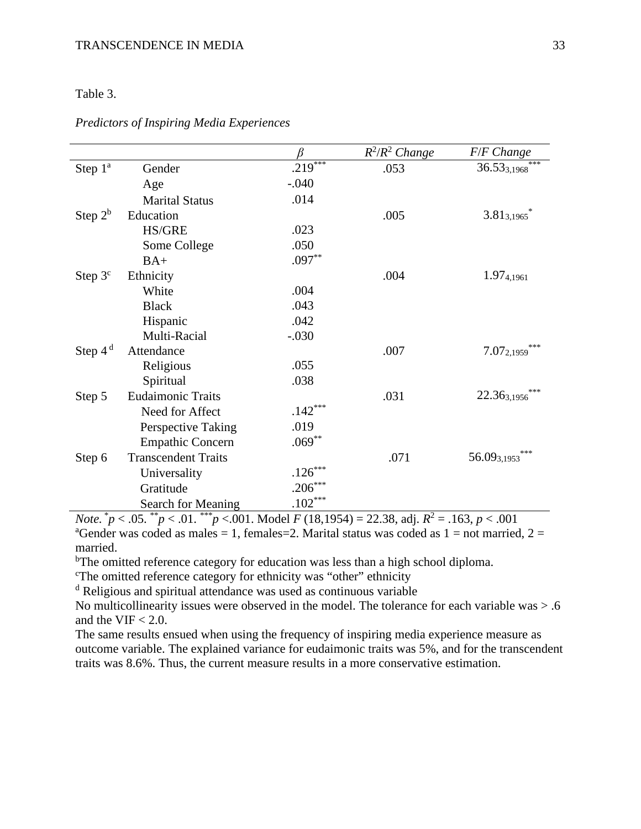## Table 3.

|            |                            |                       | $R^2/R^2$ Change | F/F Change             |
|------------|----------------------------|-----------------------|------------------|------------------------|
| Step $1^a$ | Gender                     | .219***               | .053             | $36.53_{3,1968}$       |
|            | Age                        | $-.040$               |                  |                        |
|            | <b>Marital Status</b>      | .014                  |                  |                        |
| Step $2^b$ | Education                  |                       | .005             | $3.81_{3,1965}$        |
|            | <b>HS/GRE</b>              | .023                  |                  |                        |
|            | Some College               | .050                  |                  |                        |
|            | $BA+$                      | $.097**$              |                  |                        |
| Step $3c$  | Ethnicity                  |                       | .004             | $1.97_{4,1961}$        |
|            | White                      | .004                  |                  |                        |
|            | <b>Black</b>               | .043                  |                  |                        |
|            | Hispanic                   | .042                  |                  |                        |
|            | Multi-Racial               | $-.030$               |                  |                        |
| Step $4d$  | Attendance                 |                       | .007             | ***<br>$7.07_{2,1959}$ |
|            | Religious                  | .055                  |                  |                        |
|            | Spiritual                  | .038                  |                  |                        |
| Step 5     | <b>Eudaimonic Traits</b>   |                       | .031             | 22.363,1956            |
|            | Need for Affect            | $.142***$             |                  |                        |
|            | Perspective Taking         | .019                  |                  |                        |
|            | <b>Empathic Concern</b>    | $.069***$             |                  |                        |
| Step 6     | <b>Transcendent Traits</b> |                       | .071             | $56.09_{3,1953}$       |
|            | Universality               | $.126***$             |                  |                        |
|            | Gratitude                  | $.206***$             |                  |                        |
| sk.        | Search for Meaning         | $.102^{\ast\ast\ast}$ | $\sim$           |                        |

*Predictors of Inspiring Media Experiences*

*Note.* \* *p* < .05. \*\**p* < .01. \*\*\**p* <.001. Model *F* (18,1954) = 22.38, adj. *R*<sup>2</sup> = .163, *p* < .001 <sup>a</sup>Gender was coded as males = 1, females = 2. Marital status was coded as  $1 =$  not married,  $2 =$ married.

<sup>b</sup>The omitted reference category for education was less than a high school diploma.

<sup>c</sup>The omitted reference category for ethnicity was "other" ethnicity

<sup>d</sup> Religious and spiritual attendance was used as continuous variable

No multicollinearity issues were observed in the model. The tolerance for each variable was > .6 and the VIF  $< 2.0$ .

The same results ensued when using the frequency of inspiring media experience measure as outcome variable. The explained variance for eudaimonic traits was 5%, and for the transcendent traits was 8.6%. Thus, the current measure results in a more conservative estimation.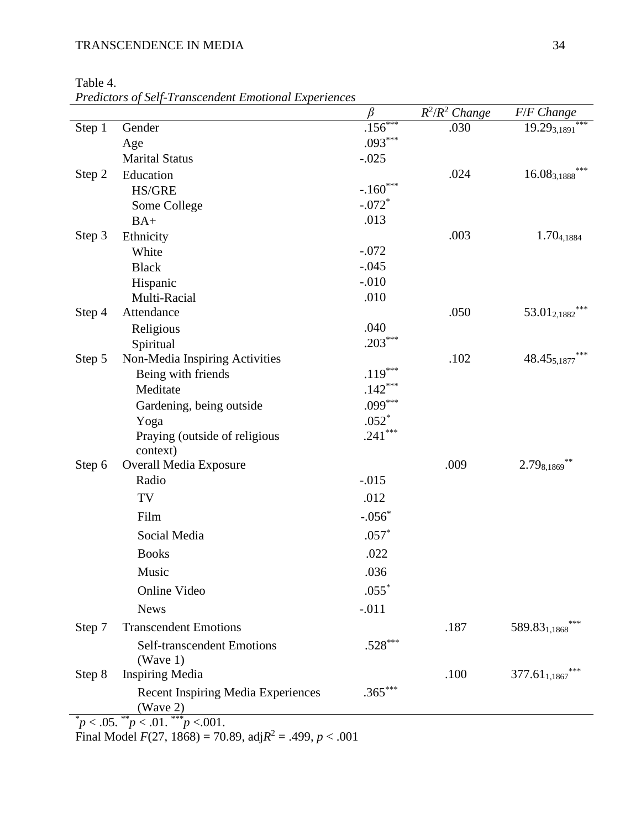Table 4.

*Predictors of Self-Transcendent Emotional Experiences*

|        |                                                                   | β          | $R^2/R^2$ Change | F/F Change                      |
|--------|-------------------------------------------------------------------|------------|------------------|---------------------------------|
| Step 1 | Gender                                                            | $.156***$  | .030             | ***<br>$19.29_{3,1891}$         |
|        | Age                                                               | $.093***$  |                  |                                 |
|        | <b>Marital Status</b>                                             | $-.025$    |                  |                                 |
| Step 2 | Education                                                         |            | .024             | ***<br>$16.08_{3,1888}$         |
|        | <b>HS/GRE</b>                                                     | $-.160***$ |                  |                                 |
|        | Some College                                                      | $-.072*$   |                  |                                 |
|        | $BA+$                                                             | .013       |                  |                                 |
| Step 3 | Ethnicity                                                         |            | .003             | 1.70 <sub>4,1884</sub>          |
|        | White                                                             | $-.072$    |                  |                                 |
|        | <b>Black</b>                                                      | $-.045$    |                  |                                 |
|        | Hispanic                                                          | $-.010$    |                  |                                 |
|        | Multi-Racial                                                      | .010       |                  | $***$                           |
| Step 4 | Attendance                                                        |            | .050             | 53.012,1882                     |
|        | Religious                                                         | .040       |                  |                                 |
|        | Spiritual                                                         | $.203***$  |                  |                                 |
| Step 5 | Non-Media Inspiring Activities                                    |            | .102             | 48.455,1877                     |
|        | Being with friends                                                | $.119***$  |                  |                                 |
|        | Meditate                                                          | $.142***$  |                  |                                 |
|        | Gardening, being outside                                          | $.099***$  |                  |                                 |
|        | Yoga                                                              | $.052*$    |                  |                                 |
|        | Praying (outside of religious                                     | $.241***$  |                  |                                 |
| Step 6 | context)<br><b>Overall Media Exposure</b>                         |            | .009             | $2.79_{8,1869}$                 |
|        | Radio                                                             | $-.015$    |                  |                                 |
|        |                                                                   |            |                  |                                 |
|        | TV                                                                | .012       |                  |                                 |
|        | Film                                                              | $-.056*$   |                  |                                 |
|        | Social Media                                                      | $.057*$    |                  |                                 |
|        | <b>Books</b>                                                      | .022       |                  |                                 |
|        | Music                                                             | .036       |                  |                                 |
|        | Online Video                                                      | $.055*$    |                  |                                 |
|        | <b>News</b>                                                       | $-.011$    |                  |                                 |
| Step 7 | <b>Transcendent Emotions</b>                                      |            | .187             | 589.83 <sub>1,1868</sub>        |
|        |                                                                   | $.528***$  |                  |                                 |
|        | Self-transcendent Emotions<br>(Wave $1$ )                         |            |                  |                                 |
| Step 8 | <b>Inspiring Media</b>                                            |            | .100             | ***<br>377.61 <sub>1,1867</sub> |
|        |                                                                   |            |                  |                                 |
|        | <b>Recent Inspiring Media Experiences</b>                         | $.365***$  |                  |                                 |
|        | (Wave 2)<br>${}^*p < .05.$ ${}^{**}p < .01.$ ${}^{***}p < .001.$  |            |                  |                                 |
|        | Final Model $F(27, 1868) = 70.89$ , adj $R^2 = .499$ , $p < .001$ |            |                  |                                 |